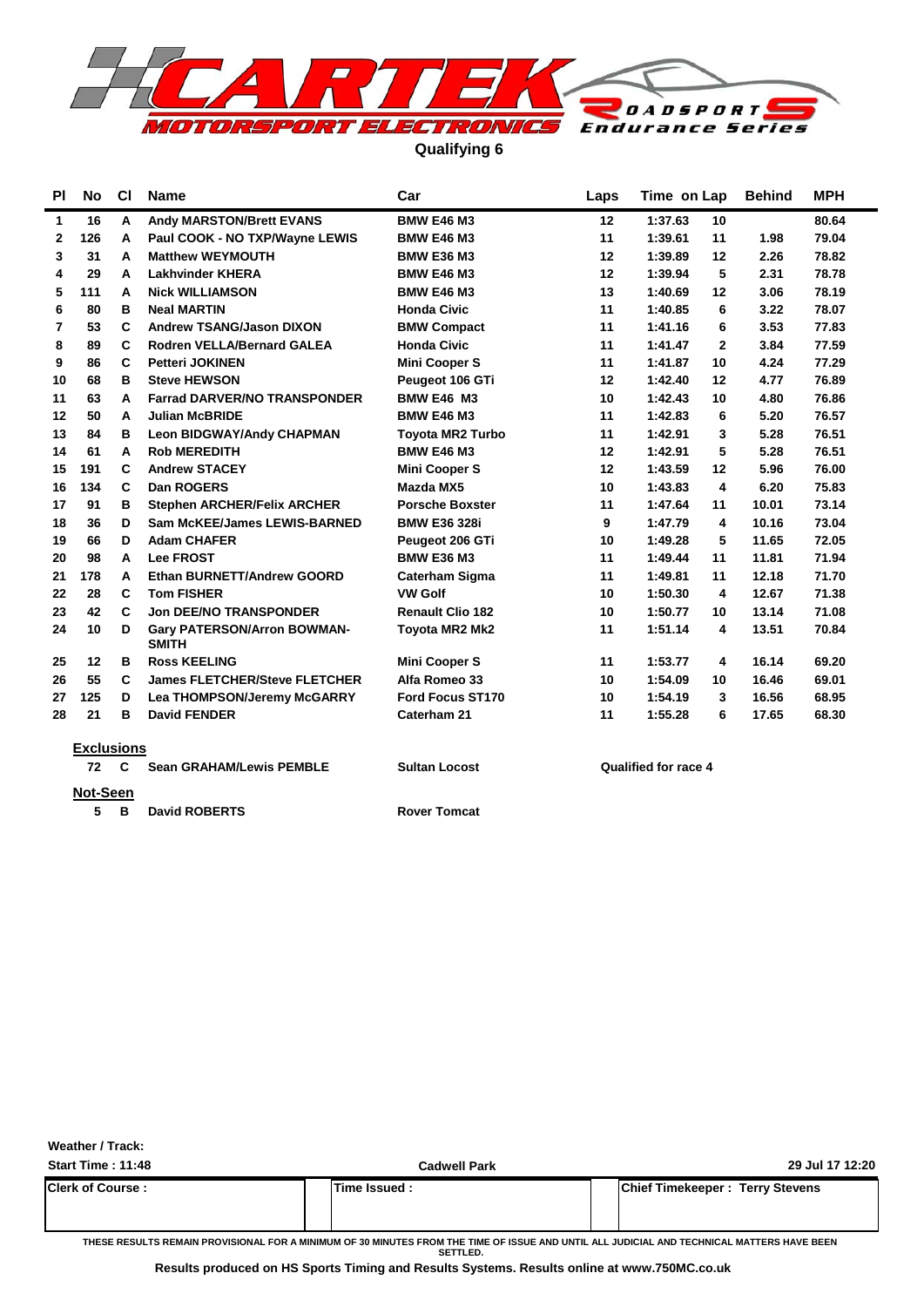

**Qualifying 6**

| ΡI           | <b>No</b>         | <b>CI</b> | <b>Name</b>                                        | Car                     | Laps    | Time on Lap                 | <b>Behind</b> | <b>MPH</b> |
|--------------|-------------------|-----------|----------------------------------------------------|-------------------------|---------|-----------------------------|---------------|------------|
| 1            | 16                | A         | <b>Andy MARSTON/Brett EVANS</b>                    | <b>BMW E46 M3</b>       | $12 \,$ | 1:37.63<br>10               |               | 80.64      |
| $\mathbf{2}$ | 126               | A         | Paul COOK - NO TXP/Wayne LEWIS                     | <b>BMW E46 M3</b>       | 11      | 1:39.61<br>11               | 1.98          | 79.04      |
| 3            | 31                | A         | <b>Matthew WEYMOUTH</b>                            | <b>BMW E36 M3</b>       | 12      | 1:39.89<br>12               | 2.26          | 78.82      |
| 4            | 29                | A         | <b>Lakhvinder KHERA</b>                            | <b>BMW E46 M3</b>       | 12      | 1:39.94<br>5                | 2.31          | 78.78      |
| 5            | 111               | A         | <b>Nick WILLIAMSON</b>                             | <b>BMW E46 M3</b>       | 13      | 1:40.69<br>12               | 3.06          | 78.19      |
| 6            | 80                | в         | <b>Neal MARTIN</b>                                 | <b>Honda Civic</b>      | 11      | 1:40.85<br>6                | 3.22          | 78.07      |
| 7            | 53                | C         | <b>Andrew TSANG/Jason DIXON</b>                    | <b>BMW Compact</b>      | 11      | 1:41.16<br>6                | 3.53          | 77.83      |
| 8            | 89                | C         | <b>Rodren VELLA/Bernard GALEA</b>                  | <b>Honda Civic</b>      | 11      | 1:41.47<br>$\overline{2}$   | 3.84          | 77.59      |
| 9            | 86                | C         | <b>Petteri JOKINEN</b>                             | <b>Mini Cooper S</b>    | 11      | 1:41.87<br>10               | 4.24          | 77.29      |
| 10           | 68                | в         | <b>Steve HEWSON</b>                                | Peugeot 106 GTi         | 12      | 1:42.40<br>12               | 4.77          | 76.89      |
| 11           | 63                | A         | <b>Farrad DARVER/NO TRANSPONDER</b>                | <b>BMW E46 M3</b>       | 10      | 1:42.43<br>10               | 4.80          | 76.86      |
| 12           | 50                | A         | Julian McBRIDE                                     | <b>BMW E46 M3</b>       | 11      | 1:42.83<br>6                | 5.20          | 76.57      |
| 13           | 84                | в         | <b>Leon BIDGWAY/Andy CHAPMAN</b>                   | <b>Toyota MR2 Turbo</b> | 11      | 1:42.91<br>3                | 5.28          | 76.51      |
| 14           | 61                | A         | <b>Rob MEREDITH</b>                                | <b>BMW E46 M3</b>       | 12      | 1:42.91<br>5                | 5.28          | 76.51      |
| 15           | 191               | C         | <b>Andrew STACEY</b>                               | <b>Mini Cooper S</b>    | 12      | 1:43.59<br>12               | 5.96          | 76.00      |
| 16           | 134               | C         | Dan ROGERS                                         | <b>Mazda MX5</b>        | 10      | 1:43.83<br>4                | 6.20          | 75.83      |
| 17           | 91                | в         | <b>Stephen ARCHER/Felix ARCHER</b>                 | <b>Porsche Boxster</b>  | 11      | 1:47.64<br>11               | 10.01         | 73.14      |
| 18           | 36                | D         | <b>Sam McKEE/James LEWIS-BARNED</b>                | <b>BMW E36 328i</b>     | 9       | 1:47.79<br>4                | 10.16         | 73.04      |
| 19           | 66                | D         | <b>Adam CHAFER</b>                                 | Peugeot 206 GTi         | 10      | 5<br>1:49.28                | 11.65         | 72.05      |
| 20           | 98                | A         | <b>Lee FROST</b>                                   | <b>BMW E36 M3</b>       | 11      | 1:49.44<br>11               | 11.81         | 71.94      |
| 21           | 178               | A         | <b>Ethan BURNETT/Andrew GOORD</b>                  | <b>Caterham Sigma</b>   | 11      | 1:49.81<br>11               | 12.18         | 71.70      |
| 22           | 28                | C         | <b>Tom FISHER</b>                                  | <b>VW Golf</b>          | 10      | 1:50.30<br>4                | 12.67         | 71.38      |
| 23           | 42                | C         | <b>Jon DEE/NO TRANSPONDER</b>                      | <b>Renault Clio 182</b> | 10      | 1:50.77<br>10               | 13.14         | 71.08      |
| 24           | 10                | D         | <b>Gary PATERSON/Arron BOWMAN-</b><br><b>SMITH</b> | Toyota MR2 Mk2          | 11      | 1:51.14<br>4                | 13.51         | 70.84      |
| 25           | 12                | в         | <b>Ross KEELING</b>                                | <b>Mini Cooper S</b>    | 11      | 1:53.77<br>4                | 16.14         | 69.20      |
| 26           | 55                | C         | <b>James FLETCHER/Steve FLETCHER</b>               | Alfa Romeo 33           | 10      | 1:54.09<br>10               | 16.46         | 69.01      |
| 27           | 125               | D         | <b>Lea THOMPSON/Jeremy McGARRY</b>                 | Ford Focus ST170        | 10      | 1:54.19<br>3                | 16.56         | 68.95      |
| 28           | 21                | в         | <b>David FENDER</b>                                | Caterham 21             | 11      | 1:55.28<br>6                | 17.65         | 68.30      |
|              | <b>Exclusions</b> |           |                                                    |                         |         |                             |               |            |
|              | 72                | C         | <b>Sean GRAHAM/Lewis PEMBLE</b>                    | <b>Sultan Locost</b>    |         | <b>Qualified for race 4</b> |               |            |
|              | Not-Seen          |           |                                                    |                         |         |                             |               |            |
|              | 5                 | в         | <b>David ROBERTS</b>                               | <b>Rover Tomcat</b>     |         |                             |               |            |

**Weather / Track:** 

| <b>Start Time: 11:48</b> | <b>Cadwell Park</b> |                                        | 29 Jul 17 12:20 |
|--------------------------|---------------------|----------------------------------------|-----------------|
| <b>Clerk of Course :</b> | Time Issued :       | <b>Chief Timekeeper: Terry Stevens</b> |                 |
|                          |                     |                                        |                 |

**THESE RESULTS REMAIN PROVISIONAL FOR A MINIMUM OF 30 MINUTES FROM THE TIME OF ISSUE AND UNTIL ALL JUDICIAL AND TECHNICAL MATTERS HAVE BEEN SETTLED.**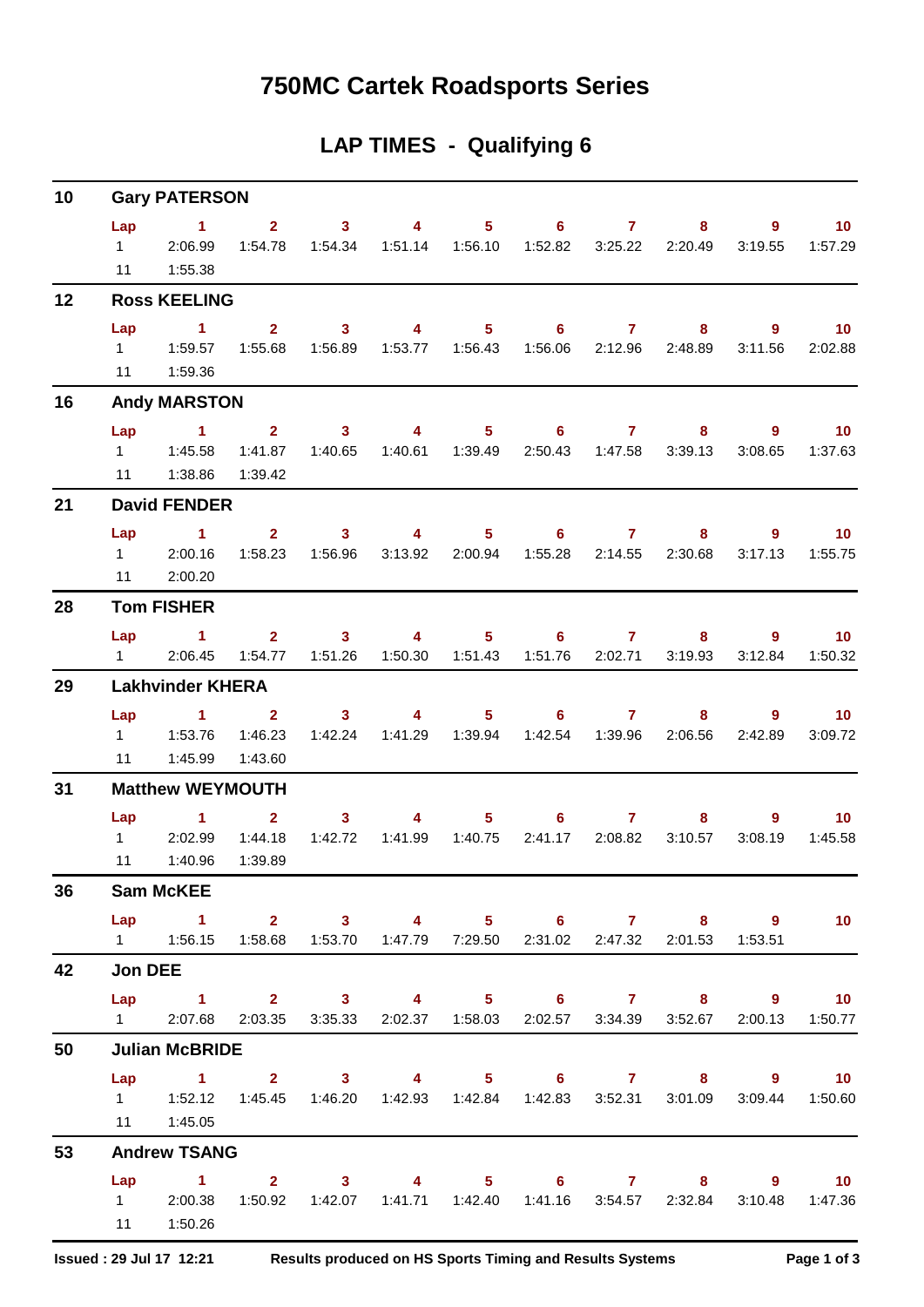## **750MC Cartek Roadsports Series**

#### **LAP TIMES - Qualifying 6**

| 10 |                                     | <b>Gary PATERSON</b>                                                                                                          |                                      |                                    |                                    |                                   |                             |                         |              |                           |                            |
|----|-------------------------------------|-------------------------------------------------------------------------------------------------------------------------------|--------------------------------------|------------------------------------|------------------------------------|-----------------------------------|-----------------------------|-------------------------|--------------|---------------------------|----------------------------|
|    | Lap<br>$1 \quad \blacksquare$<br>11 | $\sim$ 1<br>2:06.99<br>1:55.38                                                                                                | $2^{\circ}$<br>1:54.78               | 3 <sup>1</sup><br>1:54.34          | $\overline{4}$<br>1:51.14          | 5 <sub>1</sub><br>1:56.10         | $6^{\circ}$<br>1:52.82      | $\mathbf{7}$<br>3:25.22 | 8<br>2:20.49 | 9<br>3:19.55              | 10<br>1:57.29              |
| 12 |                                     | <b>Ross KEELING</b>                                                                                                           |                                      |                                    |                                    |                                   |                             |                         |              |                           |                            |
|    | Lap<br>$1 \quad$<br>11              | $\blacktriangleleft$<br>1:59.57<br>1:59.36                                                                                    | 2 <sup>1</sup><br>1:55.68            | 3 <sup>1</sup><br>1:56.89          | $\overline{4}$                     | 5 <sup>1</sup>                    | 6<br>1:56.06                | $\mathbf{7}$<br>2:12.96 | 8<br>2:48.89 | $\overline{9}$<br>3:11.56 | 10 <sup>°</sup><br>2:02.88 |
| 16 |                                     | <b>Andy MARSTON</b>                                                                                                           |                                      |                                    |                                    |                                   |                             |                         |              |                           |                            |
|    | Lap<br>$1 \quad$<br>11              | $\sim$ 1<br>1:45.58<br>1:38.86                                                                                                | $\mathbf{2}$<br>1:41.87<br>1:39.42   | $\mathbf{3}$<br>1:40.65            | $\overline{4}$<br>1:40.61          | 1:39.49                           | $5 \t\t 6$<br>2:50.43       | $\mathbf{7}$<br>1:47.58 | 8<br>3:39.13 | 9<br>3:08.65              | 10<br>1:37.63              |
| 21 |                                     | <b>David FENDER</b>                                                                                                           |                                      |                                    |                                    |                                   |                             |                         |              |                           |                            |
|    | Lap<br>$1 \quad \Box$<br>11         | $\blacktriangleleft$<br>2:00.16<br>2:00.20                                                                                    | 2 <sup>1</sup><br>1:58.23            | 3 <sup>1</sup><br>1:56.96          | $\overline{4}$                     | 5 <sub>1</sub><br>3:13.92 2:00.94 | 6<br>1:55.28                | $\mathbf{7}$<br>2:14.55 | 8<br>2:30.68 | $\overline{9}$<br>3:17.13 | 10 <sup>°</sup><br>1:55.75 |
| 28 |                                     | <b>Tom FISHER</b>                                                                                                             |                                      |                                    |                                    |                                   |                             |                         |              |                           |                            |
|    | Lap<br>$1 \quad \Box$               | $\sim$ $-1$<br>2:06.45                                                                                                        | $2^{\circ}$<br>1:54.77               | $\overline{\mathbf{3}}$<br>1:51.26 | $\overline{4}$<br>1:50.30          | 1:51.43                           | $5^{\circ}$<br>6<br>1:51.76 | $\mathbf{7}$<br>2:02.71 | 8<br>3:19.93 | 9<br>3:12.84              | 10<br>1:50.32              |
| 29 |                                     | <b>Lakhvinder KHERA</b>                                                                                                       |                                      |                                    |                                    |                                   |                             |                         |              |                           |                            |
|    | Lap<br>$1 \quad$<br>11              | $\sim$ 1<br>1:53.76<br>1:45.99                                                                                                | $\overline{2}$<br>1:46.23<br>1:43.60 | 3 <sup>1</sup><br>1:42.24          | $\overline{\mathbf{4}}$<br>1:41.29 | 5 <sub>1</sub><br>1:39.94         | 6<br>1:42.54                | $\mathbf{7}$<br>1:39.96 | 8<br>2:06.56 | $9^{\circ}$<br>2:42.89    | 10<br>3:09.72              |
| 31 |                                     | <b>Matthew WEYMOUTH</b>                                                                                                       |                                      |                                    |                                    |                                   |                             |                         |              |                           |                            |
|    | Lap<br>$1 \quad$<br>11              | $\sim$ $\sim$ 1.<br>2:02.99<br>1:40.96                                                                                        | 2 <sup>1</sup><br>1:44.18<br>1:39.89 | $\mathbf{3}$<br>1:42.72            | 4<br>1:41.99                       | 5 <sub>1</sub><br>1:40.75         | $6 -$<br>2:41.17            | $\mathbf{7}$<br>2:08.82 | 8<br>3:10.57 | 9<br>3:08.19              | 10<br>1:45.58              |
| 36 |                                     | <b>Sam McKEE</b>                                                                                                              |                                      |                                    |                                    |                                   |                             |                         |              |                           |                            |
|    |                                     | Lap 1 2 3 4 5 6 7 8 9<br>1   1:56.15   1:58.68   1:53.70   1:47.79   7:29.50   2:31.02   2:47.32   2:01.53                    |                                      |                                    |                                    |                                   |                             |                         |              | 1:53.51                   | $\sim$ 10                  |
| 42 | <b>Jon DEE</b>                      |                                                                                                                               |                                      |                                    |                                    |                                   |                             |                         |              |                           |                            |
|    |                                     | Lap 1 2 3 4 5 6 7 8 9 10<br>1 2:07.68 2:03.35 3:35.33 2:02.37 1:58.03 2:02.57 3:34.39 3:52.67 2:00.13 1:50.77                 |                                      |                                    |                                    |                                   |                             |                         |              |                           |                            |
| 50 |                                     | <b>Julian McBRIDE</b>                                                                                                         |                                      |                                    |                                    |                                   |                             |                         |              |                           |                            |
|    |                                     | Lap 1 2 3 4 5 6 7 8 9 10<br>1   1:52.12   1:45.45   1:46.20   1:42.93   1:42.84   1:42.83   3:52.31   3:01.09<br>11   1:45.05 |                                      |                                    |                                    |                                   |                             |                         |              |                           | 3:09.44 1:50.60            |
| 53 |                                     | <b>Andrew TSANG</b>                                                                                                           |                                      |                                    |                                    |                                   |                             |                         |              |                           |                            |
|    | Lap                                 | 1 2 3 4 5 6 7 8 9 10<br>1 2:00.38 1:50.92 1:42.07 1:41.71 1:42.40 1:41.16 3:54.57 2:32.84 3:10.48 1:47.36<br>11  1:50.26      |                                      |                                    |                                    |                                   |                             |                         |              |                           |                            |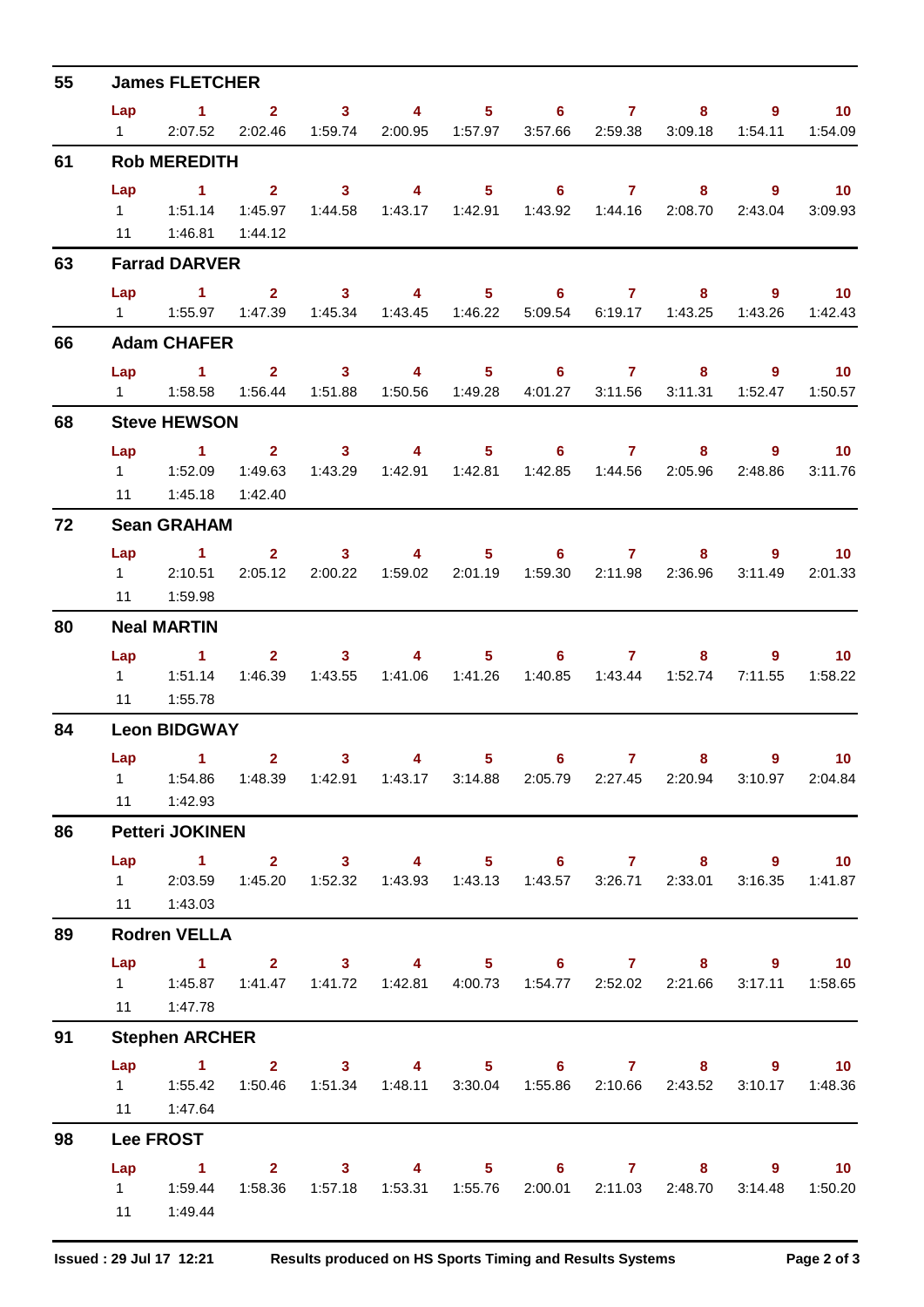| 55 |                | <b>James FLETCHER</b>                                                                                                |              |                  |                         |                |                                                                                 |              |   |             |                  |
|----|----------------|----------------------------------------------------------------------------------------------------------------------|--------------|------------------|-------------------------|----------------|---------------------------------------------------------------------------------|--------------|---|-------------|------------------|
|    | Lap            | 1 2 3 4 5 6 7 8 9 10                                                                                                 |              |                  |                         |                |                                                                                 |              |   |             |                  |
|    | $1 \quad \Box$ | 2:07.52                                                                                                              |              |                  |                         |                | 2:02.46  1:59.74  2:00.95  1:57.97  3:57.66  2:59.38  3:09.18                   |              |   |             | 1:54.11  1:54.09 |
| 61 |                | <b>Rob MEREDITH</b>                                                                                                  |              |                  |                         |                |                                                                                 |              |   |             |                  |
|    | Lap            | $1 \t 2 \t 3$                                                                                                        |              |                  |                         |                | 4 5 6 7 8 9 10                                                                  |              |   |             |                  |
|    |                |                                                                                                                      |              |                  |                         |                | 1:43.17  1:42.91  1:43.92  1:44.16  2:08.70                                     |              |   | 2:43.04     | 3:09.93          |
|    |                | 11  1:46.81  1:44.12                                                                                                 |              |                  |                         |                |                                                                                 |              |   |             |                  |
| 63 |                | <b>Farrad DARVER</b>                                                                                                 |              |                  |                         |                |                                                                                 |              |   |             |                  |
|    |                | Lap 1 2 3 4 5 6 7 8 9 10                                                                                             |              |                  |                         |                |                                                                                 |              |   |             |                  |
|    |                | 1   1:55.97   1:47.39   1:45.34   1:43.45   1:46.22   5:09.54   6:19.17   1:43.25                                    |              |                  |                         |                |                                                                                 |              |   |             | 1:43.26  1:42.43 |
| 66 |                | <b>Adam CHAFER</b>                                                                                                   |              |                  |                         |                |                                                                                 |              |   |             |                  |
|    |                | Lap 1 2 3 4 5 6 7 8 9 10                                                                                             |              |                  |                         |                |                                                                                 |              |   |             |                  |
|    |                | 1   1:58.58   1:56.44   1:51.88   1:50.56   1:49.28   4:01.27   3:11.56   3:11.31                                    |              |                  |                         |                |                                                                                 |              |   |             | 1:52.47  1:50.57 |
| 68 |                | <b>Steve HEWSON</b>                                                                                                  |              |                  |                         |                |                                                                                 |              |   |             |                  |
|    |                | Lap 1 2 3                                                                                                            |              |                  |                         |                | 4 5 6 7 8 9 10                                                                  |              |   |             |                  |
|    |                | 1   1:52.09   1:49.63   1:43.29   1:42.91   1:42.81   1:42.85   1:44.56   2:05.96<br>11  1:45.18  1:42.40            |              |                  |                         |                |                                                                                 |              |   | 2:48.86     | 3:11.76          |
| 72 |                | <b>Sean GRAHAM</b>                                                                                                   |              |                  |                         |                |                                                                                 |              |   |             |                  |
|    |                |                                                                                                                      |              |                  |                         |                |                                                                                 |              |   |             |                  |
|    |                | Lap 1<br>12:10.51                                                                                                    | 2:05.12      | 2:00.22          |                         |                | 2 3 4 5 6 7 8 9 10<br>1:59.02  2:01.19  1:59.30  2:11.98  2:36.96               |              |   | 3:11.49     | 2:01.33          |
|    | 11             | 1:59.98                                                                                                              |              |                  |                         |                |                                                                                 |              |   |             |                  |
| 80 |                | <b>Neal MARTIN</b>                                                                                                   |              |                  |                         |                |                                                                                 |              |   |             |                  |
|    | Lap            | $\sim$ $\sim$ 1.                                                                                                     |              |                  |                         |                | $2 \qquad 3 \qquad 4 \qquad 5 \qquad 6 \qquad 7$                                |              |   |             | $9 \t 10$        |
|    |                | 1 1:51.14                                                                                                            |              | 1:46.39  1:43.55 |                         |                | 1:41.06  1:41.26  1:40.85  1:43.44  1:52.74                                     |              |   | 7:11.55     | 1:58.22          |
|    |                | 11  1:55.78                                                                                                          |              |                  |                         |                |                                                                                 |              |   |             |                  |
| 84 |                | <b>Leon BIDGWAY</b>                                                                                                  |              |                  |                         |                |                                                                                 |              |   |             |                  |
|    | Lap            | $\sim$ $\sim$ $\sim$ 1.                                                                                              | $\mathbf{2}$ | $\mathbf{3}$     | $\overline{\mathbf{4}}$ | 5 <sub>1</sub> | 6.                                                                              | $\mathbf{7}$ | 8 | $9^{\circ}$ | 10 <sup>°</sup>  |
|    | $1 \quad \Box$ |                                                                                                                      |              |                  |                         |                | 1:54.86 1:48.39 1:42.91 1:43.17 3:14.88 2:05.79 2:27.45 2:20.94 3:10.97 2:04.84 |              |   |             |                  |
|    |                | 11  1:42.93                                                                                                          |              |                  |                         |                |                                                                                 |              |   |             |                  |
| 86 |                | <b>Petteri JOKINEN</b>                                                                                               |              |                  |                         |                |                                                                                 |              |   |             |                  |
|    | Lap            | 1 2 3 4 5 6 7 8 9 10                                                                                                 |              |                  |                         |                |                                                                                 |              |   |             |                  |
|    |                | 1 2:03.59 1:45.20 1:52.32 1:43.93 1:43.13 1:43.57 3:26.71 2:33.01 3:16.35 1:41.87                                    |              |                  |                         |                |                                                                                 |              |   |             |                  |
|    |                | 11  1:43.03                                                                                                          |              |                  |                         |                |                                                                                 |              |   |             |                  |
| 89 |                | <b>Rodren VELLA</b>                                                                                                  |              |                  |                         |                |                                                                                 |              |   |             |                  |
|    |                | Lap 1 2 3 4 5 6 7 8 9 10                                                                                             |              |                  |                         |                |                                                                                 |              |   |             |                  |
|    |                | 1   1:45.87   1:41.47   1:41.72   1:42.81   4:00.73   1:54.77   2:52.02   2:21.66                                    |              |                  |                         |                |                                                                                 |              |   |             | 3:17.11  1:58.65 |
|    |                | 11  1:47.78                                                                                                          |              |                  |                         |                |                                                                                 |              |   |             |                  |
| 91 |                | <b>Stephen ARCHER</b>                                                                                                |              |                  |                         |                |                                                                                 |              |   |             |                  |
|    |                | Lap 1 2 3 4 5 6 7 8 9 10                                                                                             |              |                  |                         |                |                                                                                 |              |   |             |                  |
|    |                | 1   1:55.42   1:50.46   1:51.34   1:48.11   3:30.04   1:55.86   2:10.66   2:43.52   3:10.17   1:48.36                |              |                  |                         |                |                                                                                 |              |   |             |                  |
|    |                | 11  1:47.64                                                                                                          |              |                  |                         |                |                                                                                 |              |   |             |                  |
| 98 |                | <b>Lee FROST</b>                                                                                                     |              |                  |                         |                |                                                                                 |              |   |             |                  |
|    |                | Lap 1 2 3 4 5 6 7 8 9 10                                                                                             |              |                  |                         |                |                                                                                 |              |   |             |                  |
|    |                | 1   1:59.44   1:58.36   1:57.18   1:53.31   1:55.76   2:00.01   2:11.03   2:48.70   3:14.48   1:50.20<br>11  1:49.44 |              |                  |                         |                |                                                                                 |              |   |             |                  |
|    |                |                                                                                                                      |              |                  |                         |                |                                                                                 |              |   |             |                  |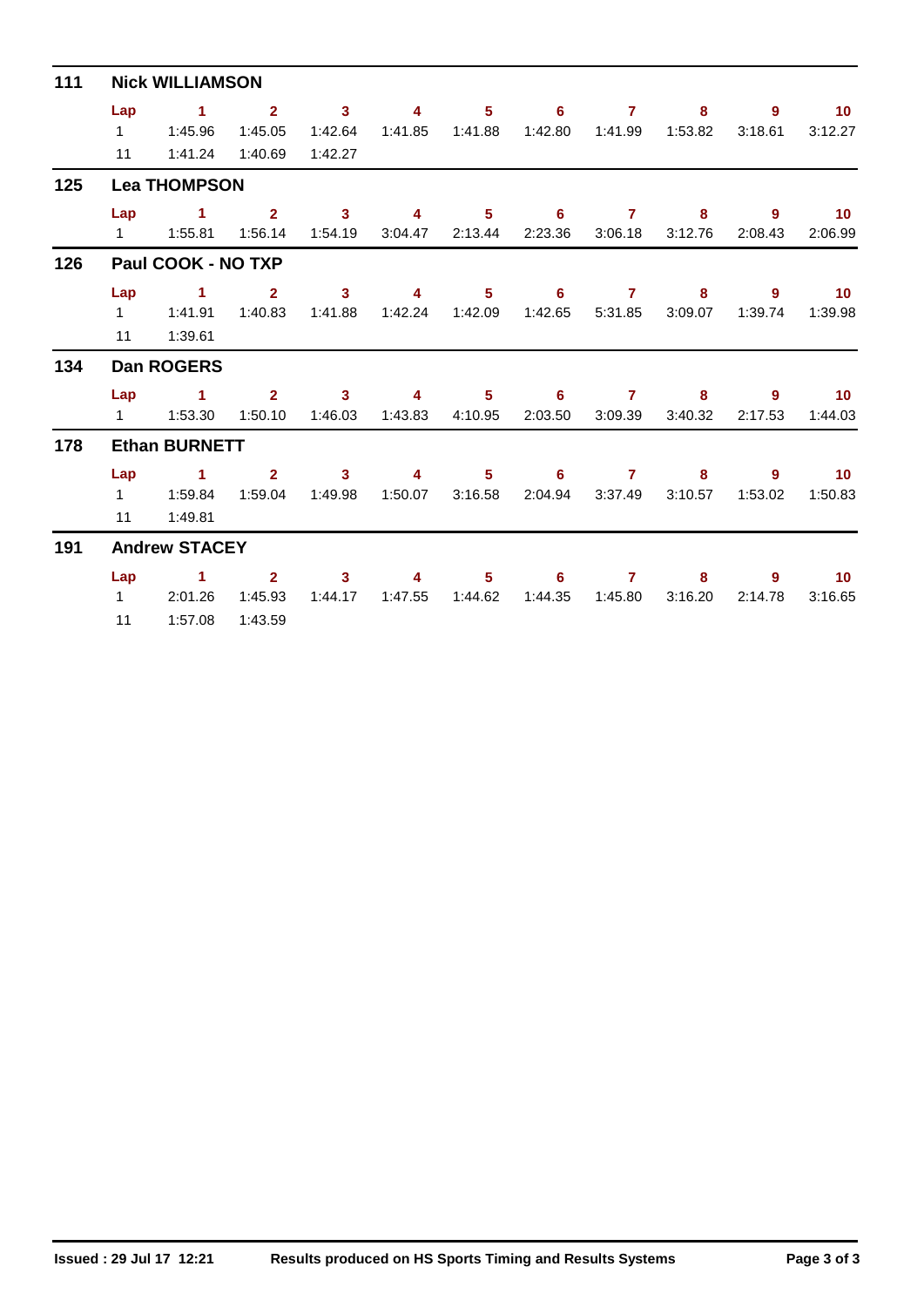| 111 |           | <b>Nick WILLIAMSON</b>      |                                    |                                    |                                    |                                                                                                                                                                                                                                                                                                                                                        |                   |                           |                            |                        |                              |
|-----|-----------|-----------------------------|------------------------------------|------------------------------------|------------------------------------|--------------------------------------------------------------------------------------------------------------------------------------------------------------------------------------------------------------------------------------------------------------------------------------------------------------------------------------------------------|-------------------|---------------------------|----------------------------|------------------------|------------------------------|
|     | Lap       | $\blacktriangleleft$        | $\overline{2}$                     | $\overline{\phantom{a}}$ 3         | $\overline{\mathbf{4}}$            | 5 <sup>1</sup>                                                                                                                                                                                                                                                                                                                                         | 6                 | $\mathbf{7}$              | 8                          | 9                      | 10                           |
|     | $1 \quad$ | 1:45.96                     | 1:45.05                            | 1:42.64                            | 1:41.85                            | 1:41.88                                                                                                                                                                                                                                                                                                                                                | 1:42.80           | 1:41.99                   | 1:53.82                    | 3:18.61                | 3:12.27                      |
|     | 11        | 1:41.24                     | 1:40.69                            | 1:42.27                            |                                    |                                                                                                                                                                                                                                                                                                                                                        |                   |                           |                            |                        |                              |
| 125 |           | <b>Lea THOMPSON</b>         |                                    |                                    |                                    |                                                                                                                                                                                                                                                                                                                                                        |                   |                           |                            |                        |                              |
|     | Lap       | $\blacksquare$              | $\overline{2}$<br>1:56.14          | $\overline{\mathbf{3}}$<br>1:54.19 | $\overline{\mathbf{4}}$<br>3:04.47 | 5 <sup>1</sup><br>2:13.44                                                                                                                                                                                                                                                                                                                              | 6<br>2:23.36      | $\overline{7}$<br>3:06.18 | 8<br>3:12.76               | 9<br>2:08.43           | $\blacksquare$ 10<br>2:06.99 |
| 126 |           | Paul COOK - NO TXP          |                                    |                                    |                                    |                                                                                                                                                                                                                                                                                                                                                        |                   |                           |                            |                        |                              |
|     | Lap       | $\sim$ 1 $\sim$ 2           |                                    | $\overline{\mathbf{3}}$            |                                    |                                                                                                                                                                                                                                                                                                                                                        | 4 5 6 7           |                           | $\overline{\phantom{a}}$ 8 |                        | $9$ 10                       |
|     |           | 1 1:41.91                   | 1:40.83                            | 1:41.88                            |                                    | 1:42.24  1:42.09                                                                                                                                                                                                                                                                                                                                       |                   |                           | 1:42.65 5:31.85 3:09.07    | 1:39.74                | 1:39.98                      |
|     |           | 11  1:39.61                 |                                    |                                    |                                    |                                                                                                                                                                                                                                                                                                                                                        |                   |                           |                            |                        |                              |
| 134 |           | Dan ROGERS                  |                                    |                                    |                                    |                                                                                                                                                                                                                                                                                                                                                        |                   |                           |                            |                        |                              |
|     | Lap       | $\sim$ 1.<br>$1 \t 1:53.30$ | $\overline{\mathbf{2}}$<br>1:50.10 | $\sim$ 3<br>1:46.03                | 1:43.83                            | $5 -$<br>$\overline{4}$ and $\overline{4}$ and $\overline{4}$ and $\overline{4}$ and $\overline{4}$ and $\overline{4}$ and $\overline{4}$ and $\overline{4}$ and $\overline{4}$ and $\overline{4}$ and $\overline{4}$ and $\overline{4}$ and $\overline{4}$ and $\overline{4}$ and $\overline{4}$ and $\overline{4}$ and $\overline{4}$ and<br>4:10.95 | 2:03.50           | 67<br>3:09.39             | 8<br>3:40.32               | $9^{\circ}$<br>2:17.53 | $\sim$ 10<br>1:44.03         |
| 178 |           | <b>Ethan BURNETT</b>        |                                    |                                    |                                    |                                                                                                                                                                                                                                                                                                                                                        |                   |                           |                            |                        |                              |
|     | Lap       | $\sim$ 1<br>11 1:49.81      | $\overline{2}$<br>1:59.04          | $\mathbf{3}$<br>1:49.98            | $\overline{\mathbf{4}}$<br>1:50.07 | 3:16.58                                                                                                                                                                                                                                                                                                                                                | $5 \t\t 6 \t\t 7$ | 2:04.94 3:37.49           | 8<br>3:10.57               | 9<br>1:53.02           | $\overline{10}$<br>1:50.83   |
| 191 |           | <b>Andrew STACEY</b>        |                                    |                                    |                                    |                                                                                                                                                                                                                                                                                                                                                        |                   |                           |                            |                        |                              |
|     | Lap       | $\sim$ 1 2                  |                                    | $\sim$ 3                           | 4                                  |                                                                                                                                                                                                                                                                                                                                                        | $5 \t\t 6 \t\t 7$ |                           | 8                          | 9                      | $\blacksquare$ 10            |
|     |           | 1 2:01.26                   | 1:45.93                            | 1:44.17                            | 1:47.55                            | 1:44.62                                                                                                                                                                                                                                                                                                                                                | 1:44.35           | 1:45.80                   | 3:16.20                    | 2:14.78                | 3:16.65                      |
|     | 11        | 1:57.08                     | 1:43.59                            |                                    |                                    |                                                                                                                                                                                                                                                                                                                                                        |                   |                           |                            |                        |                              |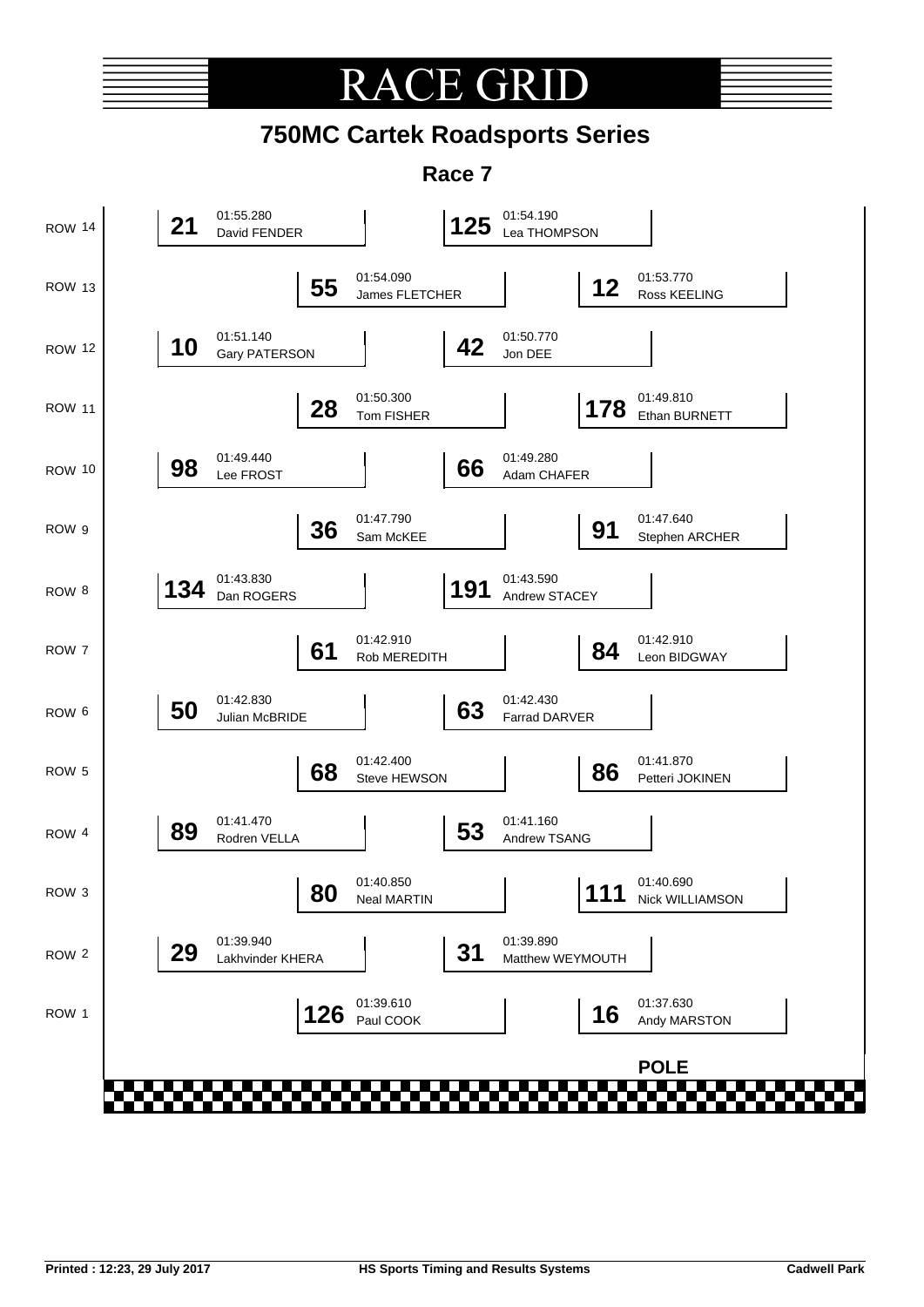# **RACE GR**

## **750MC Cartek Roadsports Series**

**Race 7**

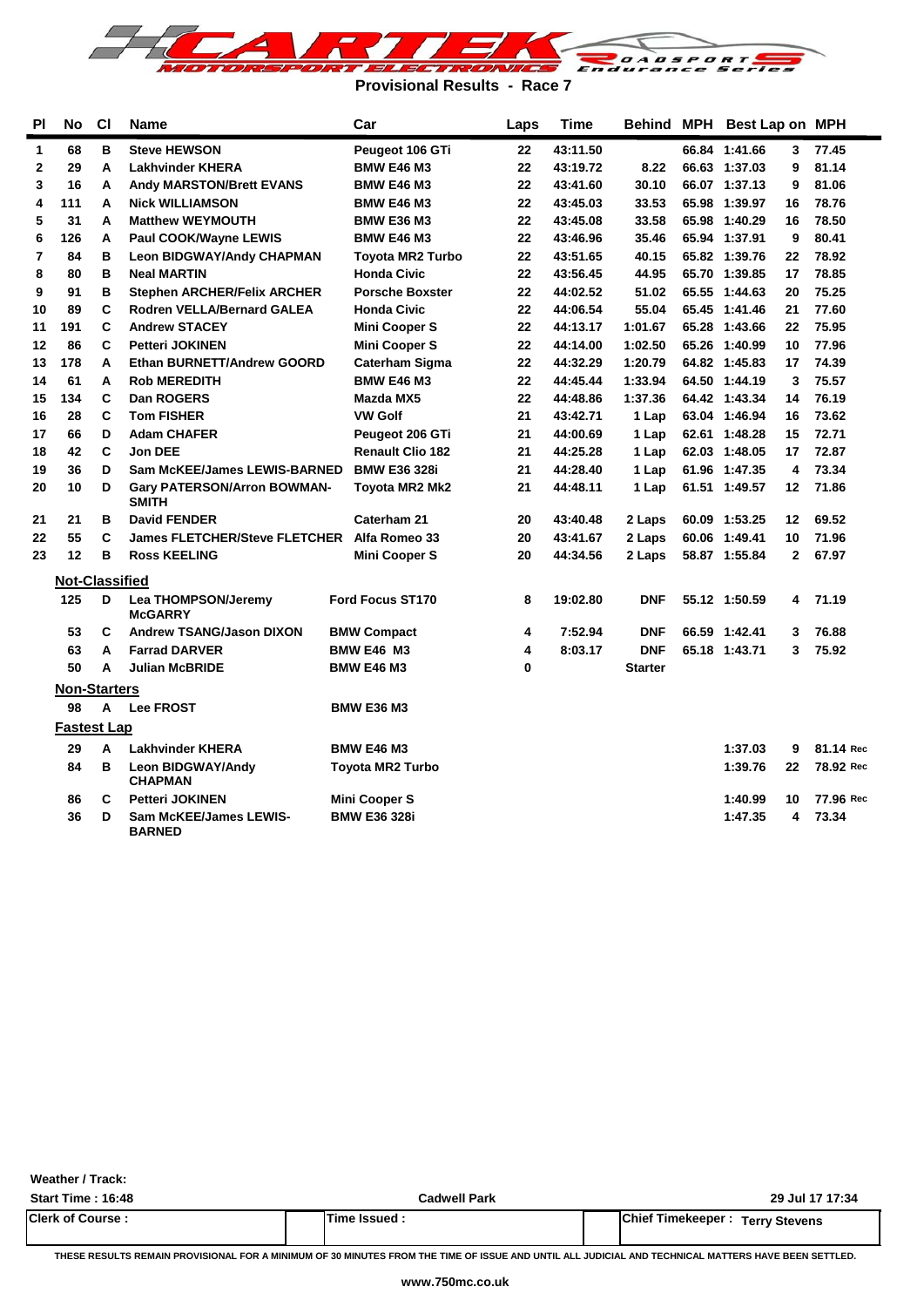

**Provisional Results - Race 7**

| ΡI          | No                    | CI | Name                                               | Car                     | Laps | Time     | <b>Behind MPH</b> | Best Lap on MPH |                |           |
|-------------|-----------------------|----|----------------------------------------------------|-------------------------|------|----------|-------------------|-----------------|----------------|-----------|
| 1           | 68                    | в  | <b>Steve HEWSON</b>                                | Peugeot 106 GTi         | 22   | 43:11.50 |                   | 66.84 1:41.66   | 3              | 77.45     |
| $\mathbf 2$ | 29                    | A  | <b>Lakhvinder KHERA</b>                            | <b>BMW E46 M3</b>       | 22   | 43:19.72 | 8.22              | 66.63 1:37.03   | 9              | 81.14     |
| 3           | 16                    | A  | <b>Andy MARSTON/Brett EVANS</b>                    | <b>BMW E46 M3</b>       | 22   | 43:41.60 | 30.10             | 66.07 1:37.13   | 9              | 81.06     |
| 4           | 111                   | A  | <b>Nick WILLIAMSON</b>                             | <b>BMW E46 M3</b>       | 22   | 43:45.03 | 33.53             | 65.98 1:39.97   | 16             | 78.76     |
| 5           | 31                    | A  | <b>Matthew WEYMOUTH</b>                            | <b>BMW E36 M3</b>       | 22   | 43:45.08 | 33.58             | 65.98 1:40.29   | 16             | 78.50     |
| 6           | 126                   | A  | Paul COOK/Wayne LEWIS                              | <b>BMW E46 M3</b>       | 22   | 43:46.96 | 35.46             | 65.94 1:37.91   | 9              | 80.41     |
| 7           | 84                    | в  | <b>Leon BIDGWAY/Andy CHAPMAN</b>                   | Toyota MR2 Turbo        | 22   | 43:51.65 | 40.15             | 65.82 1:39.76   | 22             | 78.92     |
| 8           | 80                    | в  | <b>Neal MARTIN</b>                                 | <b>Honda Civic</b>      | 22   | 43:56.45 | 44.95             | 65.70 1:39.85   | 17             | 78.85     |
| 9           | 91                    | B  | <b>Stephen ARCHER/Felix ARCHER</b>                 | <b>Porsche Boxster</b>  | 22   | 44:02.52 | 51.02             | 65.55 1:44.63   | 20             | 75.25     |
| 10          | 89                    | C  | <b>Rodren VELLA/Bernard GALEA</b>                  | <b>Honda Civic</b>      | 22   | 44:06.54 | 55.04             | 65.45 1:41.46   | 21             | 77.60     |
| 11          | 191                   | C  | <b>Andrew STACEY</b>                               | <b>Mini Cooper S</b>    | 22   | 44:13.17 | 1:01.67           | 65.28 1:43.66   | 22             | 75.95     |
| 12          | 86                    | C  | <b>Petteri JOKINEN</b>                             | <b>Mini Cooper S</b>    | 22   | 44:14.00 | 1:02.50           | 65.26 1:40.99   | 10             | 77.96     |
| 13          | 178                   | A  | <b>Ethan BURNETT/Andrew GOORD</b>                  | <b>Caterham Sigma</b>   | 22   | 44:32.29 | 1:20.79           | 64.82 1:45.83   | 17             | 74.39     |
| 14          | 61                    | A  | <b>Rob MEREDITH</b>                                | <b>BMW E46 M3</b>       | 22   | 44:45.44 | 1:33.94           | 64.50 1:44.19   | 3              | 75.57     |
| 15          | 134                   | C  | Dan ROGERS                                         | Mazda MX5               | 22   | 44:48.86 | 1:37.36           | 64.42 1:43.34   | 14             | 76.19     |
| 16          | 28                    | C  | <b>Tom FISHER</b>                                  | <b>VW Golf</b>          | 21   | 43:42.71 | 1 Lap             | 63.04 1:46.94   | 16             | 73.62     |
| 17          | 66                    | D  | <b>Adam CHAFER</b>                                 | Peugeot 206 GTi         | 21   | 44:00.69 | 1 Lap             | 62.61 1:48.28   | 15             | 72.71     |
| 18          | 42                    | C  | Jon DEE                                            | <b>Renault Clio 182</b> | 21   | 44:25.28 | 1 Lap             | 62.03 1:48.05   | 17             | 72.87     |
| 19          | 36                    | D  | <b>Sam McKEE/James LEWIS-BARNED</b>                | <b>BMW E36 328i</b>     | 21   | 44:28.40 | 1 Lap             | 61.96 1:47.35   | 4              | 73.34     |
| 20          | 10                    | D  | <b>Gary PATERSON/Arron BOWMAN-</b><br><b>SMITH</b> | Toyota MR2 Mk2          | 21   | 44:48.11 | 1 Lap             | 61.51 1:49.57   | 12             | 71.86     |
| 21          | 21                    | в  | <b>David FENDER</b>                                | Caterham 21             | 20   | 43:40.48 | 2 Laps            | 60.09 1:53.25   | 12             | 69.52     |
| 22          | 55                    | C  | <b>James FLETCHER/Steve FLETCHER</b>               | Alfa Romeo 33           | 20   | 43:41.67 | 2 Laps            | 60.06 1:49.41   | 10             | 71.96     |
| 23          | 12                    | в  | <b>Ross KEELING</b>                                | <b>Mini Cooper S</b>    | 20   | 44:34.56 | 2 Laps            | 58.87 1:55.84   | $\overline{2}$ | 67.97     |
|             | <b>Not-Classified</b> |    |                                                    |                         |      |          |                   |                 |                |           |
|             | 125                   | D  | Lea THOMPSON/Jeremy<br><b>McGARRY</b>              | <b>Ford Focus ST170</b> | 8    | 19:02.80 | <b>DNF</b>        | 55.12 1:50.59   | 4              | 71.19     |
|             | 53                    | C  | <b>Andrew TSANG/Jason DIXON</b>                    | <b>BMW Compact</b>      | 4    | 7:52.94  | DNF               | 66.59 1:42.41   | 3              | 76.88     |
|             | 63                    | A  | <b>Farrad DARVER</b>                               | <b>BMW E46 M3</b>       | 4    | 8:03.17  | <b>DNF</b>        | 65.18 1:43.71   | 3              | 75.92     |
|             | 50                    | A  | <b>Julian McBRIDE</b>                              | <b>BMW E46 M3</b>       | 0    |          | <b>Starter</b>    |                 |                |           |
|             | <b>Non-Starters</b>   |    |                                                    |                         |      |          |                   |                 |                |           |
|             | 98                    | A  | <b>Lee FROST</b>                                   | <b>BMW E36 M3</b>       |      |          |                   |                 |                |           |
|             | <b>Fastest Lap</b>    |    |                                                    |                         |      |          |                   |                 |                |           |
|             | 29                    | A  | <b>Lakhvinder KHERA</b>                            | <b>BMW E46 M3</b>       |      |          |                   | 1:37.03         | 9              | 81.14 Rec |
|             | 84                    | B  | <b>Leon BIDGWAY/Andy</b><br><b>CHAPMAN</b>         | Toyota MR2 Turbo        |      |          |                   | 1:39.76         | 22             | 78.92 Rec |
|             | 86                    | С  | <b>Petteri JOKINEN</b>                             | <b>Mini Cooper S</b>    |      |          |                   | 1:40.99         | 10             | 77.96 Rec |
|             | 36                    | D  | <b>Sam McKEE/James LEWIS-</b><br><b>BARNED</b>     | <b>BMW E36 328i</b>     |      |          |                   | 1:47.35         | 4              | 73.34     |

**Start Time : 16:48 Cadwell Park 29 Jul 17 17:34 Clerk of Course : Time Issued : Chief Timekeeper : Terry Stevens**

**Weather / Track:** 

**THESE RESULTS REMAIN PROVISIONAL FOR A MINIMUM OF 30 MINUTES FROM THE TIME OF ISSUE AND UNTIL ALL JUDICIAL AND TECHNICAL MATTERS HAVE BEEN SETTLED.**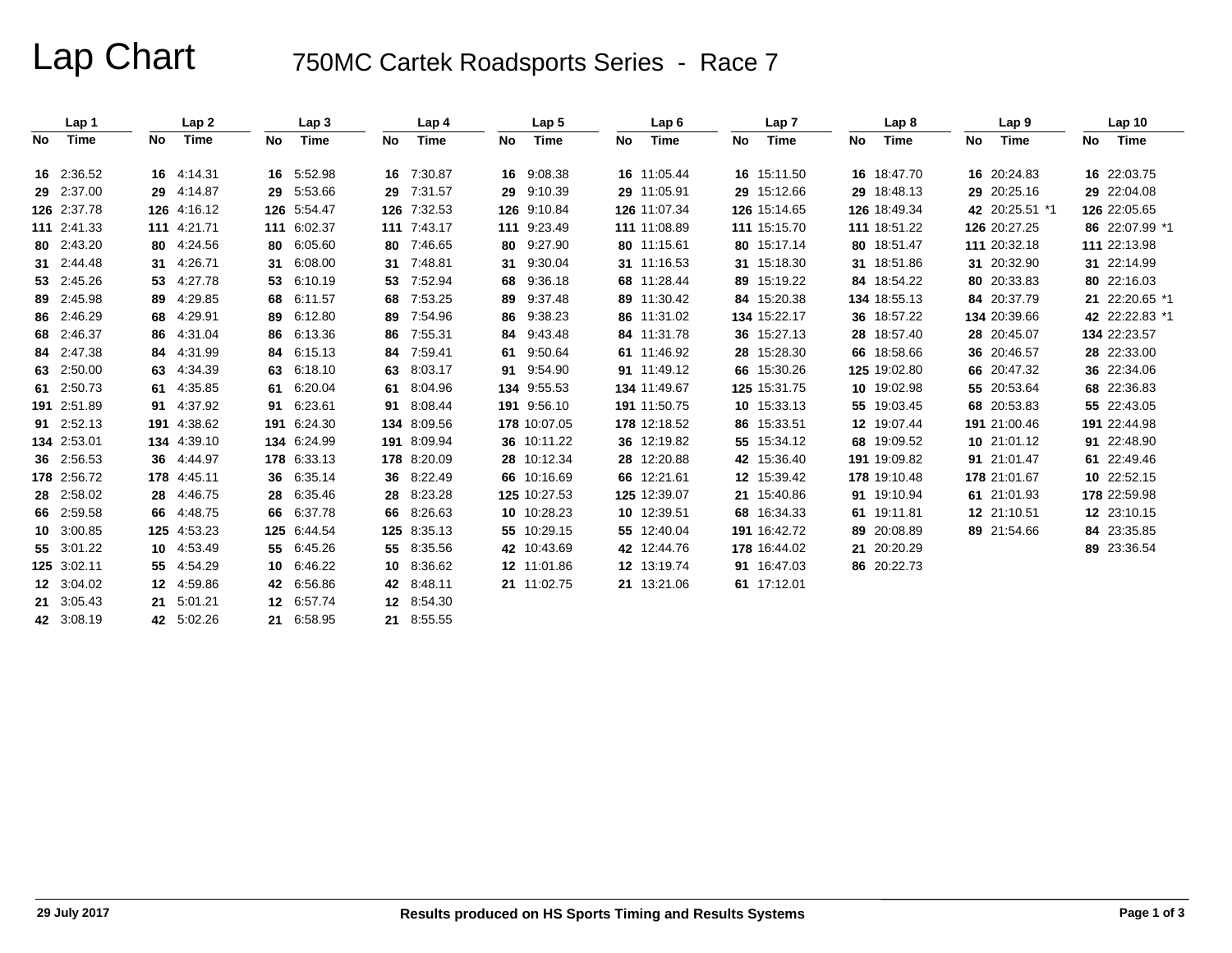## Lap Chart 750MC Cartek Roadsports Series - Race 7

|     | Lap 1       |    | Lap2        |    | Lap 3       |         | Lap 4       |    | Lap 5        |    | Lap6         |    | Lap 7        |    | Lap 8        |    | Lap <sub>9</sub> |    | Lap <sub>10</sub> |
|-----|-------------|----|-------------|----|-------------|---------|-------------|----|--------------|----|--------------|----|--------------|----|--------------|----|------------------|----|-------------------|
| No. | Time        | No | Time        | No | Time        | No      | Time        | No | Time         | No | <b>Time</b>  | No | Time         | No | Time         | No | Time             | No | Time              |
|     | 16 2:36.52  |    | 16 4:14.31  |    | 16 5:52.98  | 16      | 7:30.87     |    | 16 9:08.38   |    | 16 11:05.44  |    | 16 15:11.50  |    | 16 18:47.70  |    | 16 20:24.83      |    | 16 22:03.75       |
|     | 29 2:37.00  |    | 29 4:14.87  | 29 | 5:53.66     | 29      | 7:31.57     |    | 29 9:10.39   |    | 29 11:05.91  |    | 29 15:12.66  |    | 29 18:48.13  |    | 29 20:25.16      |    | 29 22:04.08       |
|     | 126 2:37.78 |    | 126 4:16.12 |    | 126 5:54.47 | 126     | 7:32.53     |    | 126 9:10.84  |    | 126 11:07.34 |    | 126 15:14.65 |    | 126 18:49.34 |    | 42 20:25.51 *1   |    | 126 22:05.65      |
|     | 111 2:41.33 |    | 111 4:21.71 |    | 111 6:02.37 |         | 111 7:43.17 |    | 111 9:23.49  |    | 111 11:08.89 |    | 111 15:15.70 |    | 111 18:51.22 |    | 126 20:27.25     |    | 86 22:07.99 *1    |
|     | 80 2:43.20  |    | 80 4:24.56  |    | 80 6:05.60  | 80      | 7:46.65     |    | 80 9:27.90   |    | 80 11:15.61  |    | 80 15:17.14  |    | 80 18:51.47  |    | 111 20:32.18     |    | 111 22:13.98      |
|     | 31 2:44.48  |    | 31 4:26.71  | 31 | 6:08.00     | 31      | 7:48.81     | 31 | 9:30.04      |    | 31 11:16.53  |    | 31 15:18.30  |    | 31 18:51.86  |    | 31 20:32.90      |    | 31 22:14.99       |
|     | 53 2:45.26  |    | 53 4:27.78  | 53 | 6:10.19     | 53      | 7:52.94     | 68 | 9:36.18      |    | 68 11:28.44  |    | 89 15:19.22  |    | 84 18:54.22  |    | 80 20:33.83      |    | 80 22:16.03       |
|     | 89 2:45.98  |    | 89 4:29.85  |    | 68 6:11.57  | 68      | 7:53.25     |    | 89 9:37.48   |    | 89 11:30.42  |    | 84 15:20.38  |    | 134 18:55.13 |    | 84 20:37.79      |    | 21 22:20.65 *1    |
|     | 86 2:46.29  |    | 68 4:29.91  | 89 | 6:12.80     | 89      | 7:54.96     |    | 86 9:38.23   |    | 86 11:31.02  |    | 134 15:22.17 |    | 36 18:57.22  |    | 134 20:39.66     |    | 42 22:22.83 *1    |
|     | 68 2:46.37  |    | 86 4:31.04  |    | 86 6.13.36  | 86      | 7:55.31     |    | 84 9:43.48   |    | 84 11:31.78  |    | 36 15:27.13  |    | 28 18:57.40  |    | 28 20:45.07      |    | 134 22:23.57      |
|     | 84 2:47.38  | 84 | 4:31.99     | 84 | 6:15.13     | 84      | 7:59.41     |    | 61 9:50.64   |    | 61 11:46.92  |    | 28 15:28.30  |    | 66 18:58.66  |    | 36 20:46.57      |    | 28 22:33.00       |
|     | 63 2:50.00  |    | 63 4:34.39  | 63 | 6:18.10     | 63      | 8:03.17     | 91 | 9:54.90      |    | 91 11:49.12  |    | 66 15:30.26  |    | 125 19:02.80 |    | 66 20:47.32      |    | 36 22:34.06       |
|     | 61 2:50.73  |    | 61 4:35.85  | 61 | 6:20.04     | 61      | 8:04.96     |    | 134 9:55.53  |    | 134 11:49.67 |    | 125 15:31.75 |    | 10 19:02.98  |    | 55 20:53.64      |    | 68 22:36.83       |
|     | 191 2:51.89 |    | 91 4:37.92  | 91 | 6:23.61     | 91      | 8:08.44     |    | 191 9:56.10  |    | 191 11:50.75 |    | 10 15:33.13  |    | 55 19:03.45  |    | 68 20:53.83      |    | 55 22:43.05       |
|     | 91 2:52.13  |    | 191 4:38.62 |    | 191 6:24.30 | 134     | 8:09.56     |    | 178 10:07.05 |    | 178 12:18.52 |    | 86 15:33.51  |    | 12 19:07.44  |    | 191 21:00.46     |    | 191 22:44.98      |
|     | 134 2:53.01 |    | 134 4:39.10 |    | 134 6:24.99 | 191     | 8:09.94     |    | 36 10:11.22  |    | 36 12:19.82  |    | 55 15:34.12  |    | 68 19:09.52  |    | 10 21:01.12      |    | 91 22:48.90       |
|     | 36 2:56.53  |    | 36 4:44.97  |    | 178 6:33.13 |         | 178 8:20.09 |    | 28 10:12.34  |    | 28 12:20.88  |    | 42 15:36.40  |    | 191 19:09.82 |    | 91 21:01.47      |    | 61 22:49.46       |
|     | 178 2:56.72 |    | 178 4:45.11 |    | 36 6:35.14  |         | 36 8:22.49  |    | 66 10:16.69  |    | 66 12:21.61  |    | 12 15:39.42  |    | 178 19:10.48 |    | 178 21:01.67     |    | 10 22:52.15       |
|     | 28 2:58.02  |    | 28 4:46.75  |    | 28 6:35.46  | 28      | 8:23.28     |    | 125 10:27.53 |    | 125 12:39.07 |    | 21 15:40.86  |    | 91 19:10.94  |    | 61 21:01.93      |    | 178 22:59.98      |
|     | 66 2:59.58  |    | 66 4:48.75  |    | 66 6:37.78  | 66      | 8:26.63     |    | 10 10:28.23  |    | 10 12:39.51  |    | 68 16:34.33  |    | 61 19:11.81  |    | 12 21:10.51      |    | 12 23:10.15       |
|     | 10 3:00.85  |    | 125 4:53.23 |    | 125 6:44.54 |         | 125 8:35.13 |    | 55 10:29.15  |    | 55 12:40.04  |    | 191 16:42.72 |    | 89 20:08.89  |    | 89 21:54.66      |    | 84 23:35.85       |
|     | 55 3:01.22  |    | 10 4:53.49  |    | 55 6:45.26  | 55      | 8:35.56     |    | 42 10:43.69  |    | 42 12:44.76  |    | 178 16:44.02 |    | 21 20:20.29  |    |                  |    | 89 23:36.54       |
|     | 125 3:02.11 |    | 55 4:54.29  | 10 | 6:46.22     | 10      | 8:36.62     |    | 12 11:01.86  |    | 12 13:19.74  |    | 91 16:47.03  |    | 86 20:22.73  |    |                  |    |                   |
|     | 12 3:04.02  |    | 12 4:59.86  |    | 42 6:56.86  | 42      | 8:48.11     |    | 21 11:02.75  |    | 21 13:21.06  |    | 61 17:12.01  |    |              |    |                  |    |                   |
|     | 21 3:05.43  |    | 21 5:01.21  |    | 12 6:57.74  | $12 \,$ | 8:54.30     |    |              |    |              |    |              |    |              |    |                  |    |                   |
|     | 42 3:08.19  |    | 42 5:02.26  |    | 21 6:58.95  |         | 21 8:55.55  |    |              |    |              |    |              |    |              |    |                  |    |                   |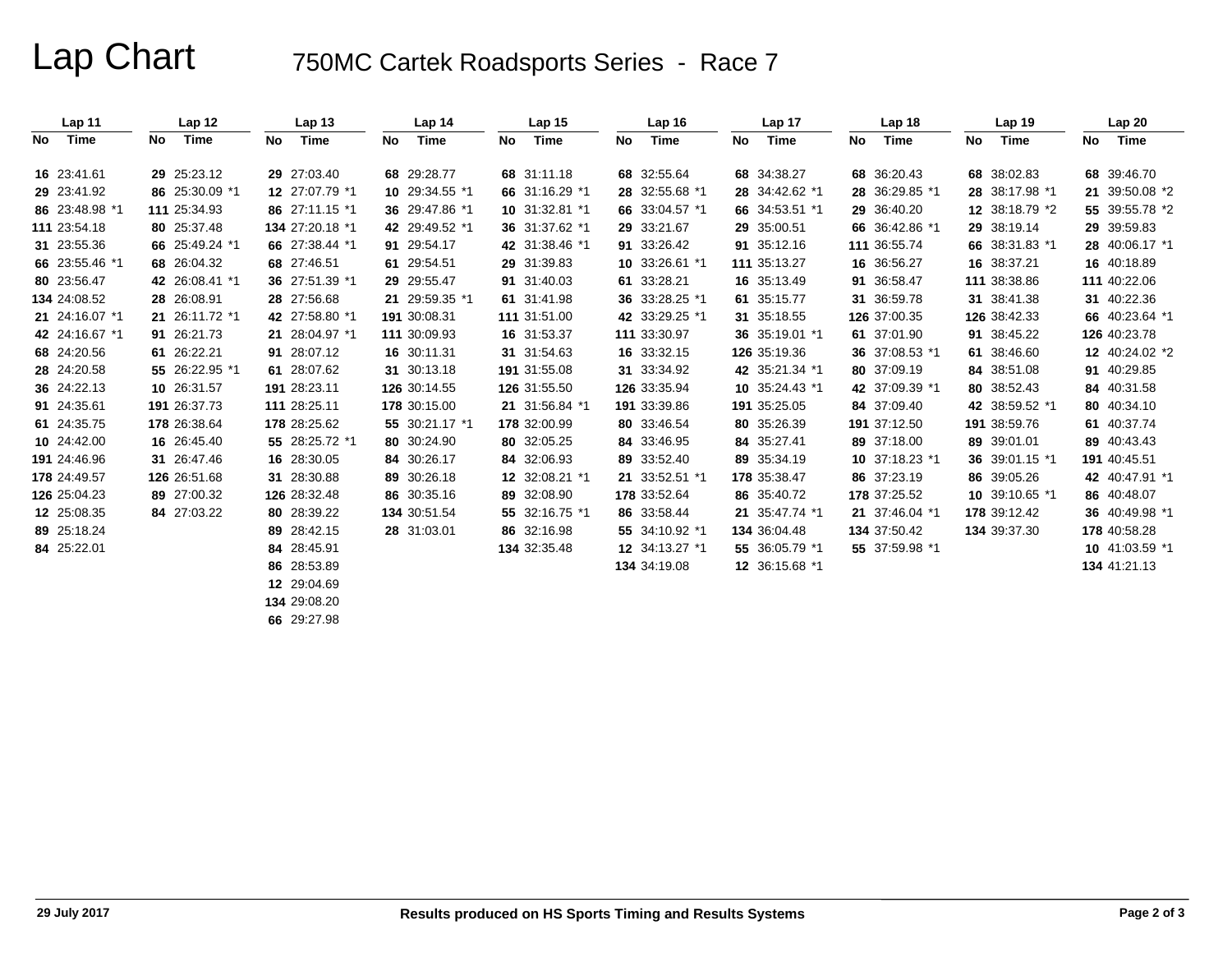## Lap Chart 750MC Cartek Roadsports Series - Race 7

|    | Lap 11         |    | Lap 12         |    | Lap <sub>13</sub> |    | Lap 14         |    | Lap <sub>15</sub> |    | Lap 16         |    | Lap 17         |    | Lap <sub>18</sub> |    | Lap <sub>19</sub> |    | Lap <sub>20</sub> |
|----|----------------|----|----------------|----|-------------------|----|----------------|----|-------------------|----|----------------|----|----------------|----|-------------------|----|-------------------|----|-------------------|
| No | Time           | No | Time           | No | Time              | No | Time           | No | Time              | No | Time           | No | Time           | No | Time              | No | Time              | No | Time              |
|    | 16 23:41.61    |    | 29 25:23.12    |    | 29 27:03.40       |    | 68 29:28.77    |    | 68 31:11.18       |    | 68 32:55.64    |    | 68 34:38.27    |    | 68 36:20.43       |    | 68 38:02.83       |    | 68 39:46.70       |
|    | 29 23:41.92    |    | 86 25:30.09 *1 |    | 12 27:07.79 *1    |    | 10 29:34.55 *1 |    | 66 31:16.29 *1    |    | 28 32:55.68 *1 |    | 28 34:42.62 *1 |    | 28 36:29.85 *1    |    | 28 38:17.98 *1    |    | 21 39:50.08 *2    |
|    | 86 23:48.98 *1 |    | 111 25:34.93   |    | 86 27:11.15 *1    |    | 36 29:47.86 *1 |    | 10 31:32.81 *1    |    | 66 33:04.57 *1 |    | 66 34:53.51 *1 |    | 29 36:40.20       |    | 12 38:18.79 *2    |    | 55 39:55.78 *2    |
|    | 111 23:54.18   |    | 80 25:37.48    |    | 134 27:20.18 *1   |    | 42 29:49.52 *1 |    | 36 31:37.62 *1    |    | 29 33:21.67    |    | 29 35:00.51    |    | 66 36:42.86 *1    |    | 29 38:19.14       |    | 29 39:59.83       |
|    | 31 23:55.36    |    | 66 25:49.24 *1 |    | 66 27:38.44 *1    |    | 91 29:54.17    |    | 42 31:38.46 *1    |    | 91 33:26.42    |    | 91 35:12.16    |    | 111 36:55.74      |    | 66 38:31.83 *1    |    | 28 40:06.17 *1    |
|    | 66 23:55.46 *1 |    | 68 26:04.32    |    | 68 27:46.51       |    | 61 29:54.51    |    | 29 31:39.83       |    | 10 33:26.61 *1 |    | 111 35:13.27   |    | 16 36:56.27       |    | 16 38:37.21       |    | 16 40:18.89       |
|    | 80 23:56.47    |    | 42 26:08.41 *1 |    | 36 27:51.39 *1    |    | 29 29:55.47    |    | 91 31:40.03       |    | 61 33:28.21    |    | 16 35:13.49    |    | 91 36:58.47       |    | 111 38:38.86      |    | 111 40:22.06      |
|    | 134 24:08.52   |    | 28 26:08.91    |    | 28 27:56.68       |    | 21 29:59.35 *1 |    | 61 31:41.98       |    | 36 33:28.25 *1 |    | 61 35:15.77    |    | 31 36:59.78       |    | 31 38:41.38       |    | 31 40:22.36       |
|    | 21 24:16.07 *1 |    | 21 26:11.72 *1 |    | 42 27:58.80 *1    |    | 191 30:08.31   |    | 111 31:51.00      |    | 42 33:29.25 *1 |    | 31 35:18.55    |    | 126 37:00.35      |    | 126 38:42.33      |    | 66 40:23.64 *1    |
|    | 42 24:16.67 *1 |    | 91 26:21.73    |    | 21 28:04.97 *1    |    | 111 30:09.93   |    | 16 31:53.37       |    | 111 33:30.97   |    | 36 35:19.01 *1 |    | 61 37:01.90       |    | 91 38:45.22       |    | 126 40:23.78      |
|    | 68 24:20.56    |    | 61 26:22.21    |    | 91 28:07.12       |    | 16 30:11.31    |    | 31 31:54.63       |    | 16 33:32.15    |    | 126 35:19.36   |    | 36 37:08.53 *1    |    | 61 38:46.60       |    | 12 40:24.02 *2    |
|    | 28 24:20.58    |    | 55 26:22.95 *1 |    | 61 28:07.62       |    | 31 30:13.18    |    | 191 31:55.08      |    | 31 33:34.92    |    | 42 35:21.34 *1 |    | 80 37:09.19       |    | 84 38:51.08       |    | 91 40:29.85       |
|    | 36 24:22.13    |    | 10 26:31.57    |    | 191 28:23.11      |    | 126 30:14.55   |    | 126 31:55.50      |    | 126 33:35.94   |    | 10 35:24.43 *1 |    | 42 37:09.39 *1    |    | 80 38:52.43       |    | 84 40:31.58       |
|    | 91 24:35.61    |    | 191 26:37.73   |    | 111 28:25.11      |    | 178 30:15.00   |    | 21 31:56.84 *1    |    | 191 33:39.86   |    | 191 35:25.05   |    | 84 37:09.40       |    | 42 38:59.52 *1    |    | 80 40:34.10       |
|    | 61 24:35.75    |    | 178 26:38.64   |    | 178 28:25.62      |    | 55 30:21.17 *1 |    | 178 32:00.99      |    | 80 33:46.54    |    | 80 35:26.39    |    | 191 37:12.50      |    | 191 38:59.76      |    | 61 40:37.74       |
|    | 10 24:42.00    |    | 16 26:45.40    |    | 55 28:25.72 *1    |    | 80 30:24.90    |    | 80 32:05.25       |    | 84 33:46.95    |    | 84 35:27.41    |    | 89 37:18.00       |    | 89 39:01.01       |    | 89 40:43.43       |
|    | 191 24:46.96   |    | 31 26:47.46    |    | 16 28:30.05       |    | 84 30:26.17    |    | 84 32:06.93       |    | 89 33:52.40    |    | 89 35:34.19    |    | 10 37:18.23 *1    |    | 36 39:01.15 *1    |    | 191 40:45.51      |
|    | 178 24:49.57   |    | 126 26:51.68   |    | 31 28:30.88       |    | 89 30:26.18    |    | 12 32:08.21 *1    |    | 21 33:52.51 *1 |    | 178 35:38.47   |    | 86 37:23.19       |    | 86 39:05.26       |    | 42 40:47.91 *1    |
|    | 126 25:04.23   |    | 89 27:00.32    |    | 126 28:32.48      |    | 86 30:35.16    |    | 89 32:08.90       |    | 178 33:52.64   |    | 86 35:40.72    |    | 178 37:25.52      |    | 10 39:10.65 *1    |    | 86 40:48.07       |
|    | 12 25:08.35    |    | 84 27:03.22    |    | 80 28:39.22       |    | 134 30:51.54   |    | 55 32:16.75 *1    |    | 86 33:58.44    |    | 21 35:47.74 *1 |    | 21 37:46.04 *1    |    | 178 39:12.42      |    | 36 40:49.98 *1    |
|    | 89 25:18.24    |    |                |    | 89 28:42.15       |    | 28 31:03.01    |    | 86 32:16.98       |    | 55 34:10.92 *1 |    | 134 36:04.48   |    | 134 37:50.42      |    | 134 39:37.30      |    | 178 40:58.28      |
|    | 84 25:22.01    |    |                |    | 84 28:45.91       |    |                |    | 134 32:35.48      |    | 12 34:13.27 *1 |    | 55 36:05.79 *1 |    | 55 37:59.98 *1    |    |                   |    | 10 41:03.59 *1    |
|    |                |    |                |    | 86 28:53.89       |    |                |    |                   |    | 134 34:19.08   |    | 12 36:15.68 *1 |    |                   |    |                   |    | 134 41:21.13      |
|    |                |    |                |    | 12 29:04.69       |    |                |    |                   |    |                |    |                |    |                   |    |                   |    |                   |
|    |                |    |                |    | 134 29:08.20      |    |                |    |                   |    |                |    |                |    |                   |    |                   |    |                   |

**66** 29:27.98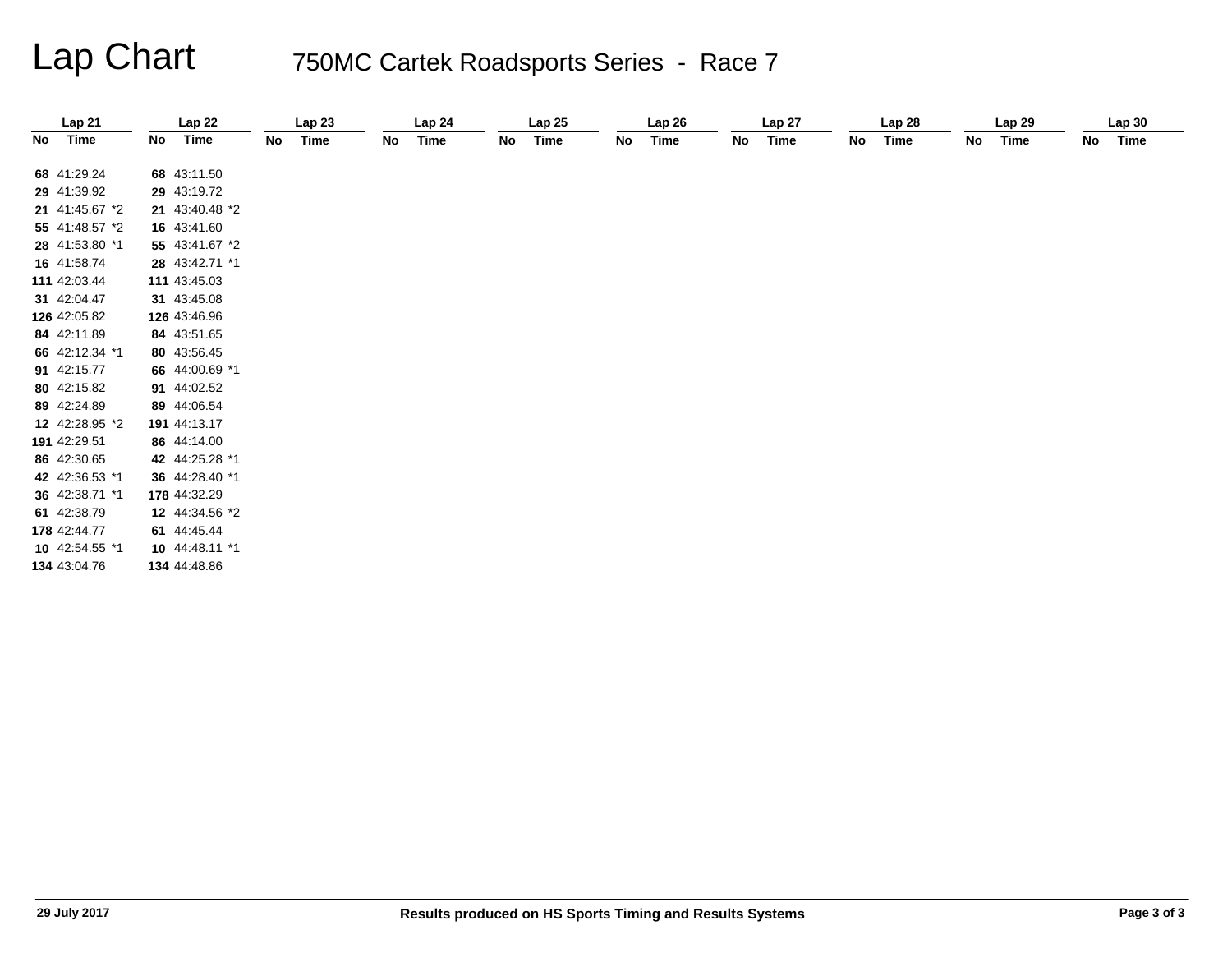## Lap Chart 750MC Cartek Roadsports Series - Race 7

|    | Lap 21         |    | Lap22          |    | Lap23 |    | Lap 24 |    | Lap25 |    | Lap26 |    | Lap 27 |    | Lap28 |    | Lap29 |    | Lap30 |
|----|----------------|----|----------------|----|-------|----|--------|----|-------|----|-------|----|--------|----|-------|----|-------|----|-------|
| No | Time           | No | Time           | No | Time  | No | Time   | No | Time  | No | Time  | No | Time   | No | Time  | No | Time  | No | Time  |
|    | 68 41:29.24    |    | 68 43:11.50    |    |       |    |        |    |       |    |       |    |        |    |       |    |       |    |       |
|    | 29 41:39.92    |    | 29 43:19.72    |    |       |    |        |    |       |    |       |    |        |    |       |    |       |    |       |
|    | 21 41:45.67 *2 |    | 21 43:40.48 *2 |    |       |    |        |    |       |    |       |    |        |    |       |    |       |    |       |
|    | 55 41:48.57 *2 |    | 16 43:41.60    |    |       |    |        |    |       |    |       |    |        |    |       |    |       |    |       |
|    | 28 41:53.80 *1 |    | 55 43:41.67 *2 |    |       |    |        |    |       |    |       |    |        |    |       |    |       |    |       |
|    | 16 41:58.74    |    | 28 43:42.71 *1 |    |       |    |        |    |       |    |       |    |        |    |       |    |       |    |       |
|    | 111 42:03.44   |    | 111 43:45.03   |    |       |    |        |    |       |    |       |    |        |    |       |    |       |    |       |
|    | 31 42:04.47    |    | 31 43:45.08    |    |       |    |        |    |       |    |       |    |        |    |       |    |       |    |       |
|    | 126 42:05.82   |    | 126 43:46.96   |    |       |    |        |    |       |    |       |    |        |    |       |    |       |    |       |
|    | 84 42:11.89    |    | 84 43:51.65    |    |       |    |        |    |       |    |       |    |        |    |       |    |       |    |       |
|    | 66 42:12.34 *1 |    | 80 43:56.45    |    |       |    |        |    |       |    |       |    |        |    |       |    |       |    |       |
|    | 91 42:15.77    |    | 66 44:00.69 *1 |    |       |    |        |    |       |    |       |    |        |    |       |    |       |    |       |
|    | 80 42:15.82    |    | 91 44:02.52    |    |       |    |        |    |       |    |       |    |        |    |       |    |       |    |       |
|    | 89 42:24.89    |    | 89 44:06.54    |    |       |    |        |    |       |    |       |    |        |    |       |    |       |    |       |
|    | 12 42:28.95 *2 |    | 191 44:13.17   |    |       |    |        |    |       |    |       |    |        |    |       |    |       |    |       |
|    | 191 42:29.51   |    | 86 44:14.00    |    |       |    |        |    |       |    |       |    |        |    |       |    |       |    |       |
|    | 86 42:30.65    |    | 42 44:25.28 *1 |    |       |    |        |    |       |    |       |    |        |    |       |    |       |    |       |
|    | 42 42:36.53 *1 |    | 36 44:28.40 *1 |    |       |    |        |    |       |    |       |    |        |    |       |    |       |    |       |
|    | 36 42:38.71 *1 |    | 178 44:32.29   |    |       |    |        |    |       |    |       |    |        |    |       |    |       |    |       |
|    | 61 42:38.79    |    | 12 44:34.56 *2 |    |       |    |        |    |       |    |       |    |        |    |       |    |       |    |       |
|    | 178 42:44.77   |    | 61 44:45.44    |    |       |    |        |    |       |    |       |    |        |    |       |    |       |    |       |
|    | 10 42:54.55 *1 |    | 10 44:48.11 *1 |    |       |    |        |    |       |    |       |    |        |    |       |    |       |    |       |
|    | 134 43:04.76   |    | 134 44:48.86   |    |       |    |        |    |       |    |       |    |        |    |       |    |       |    |       |
|    |                |    |                |    |       |    |        |    |       |    |       |    |        |    |       |    |       |    |       |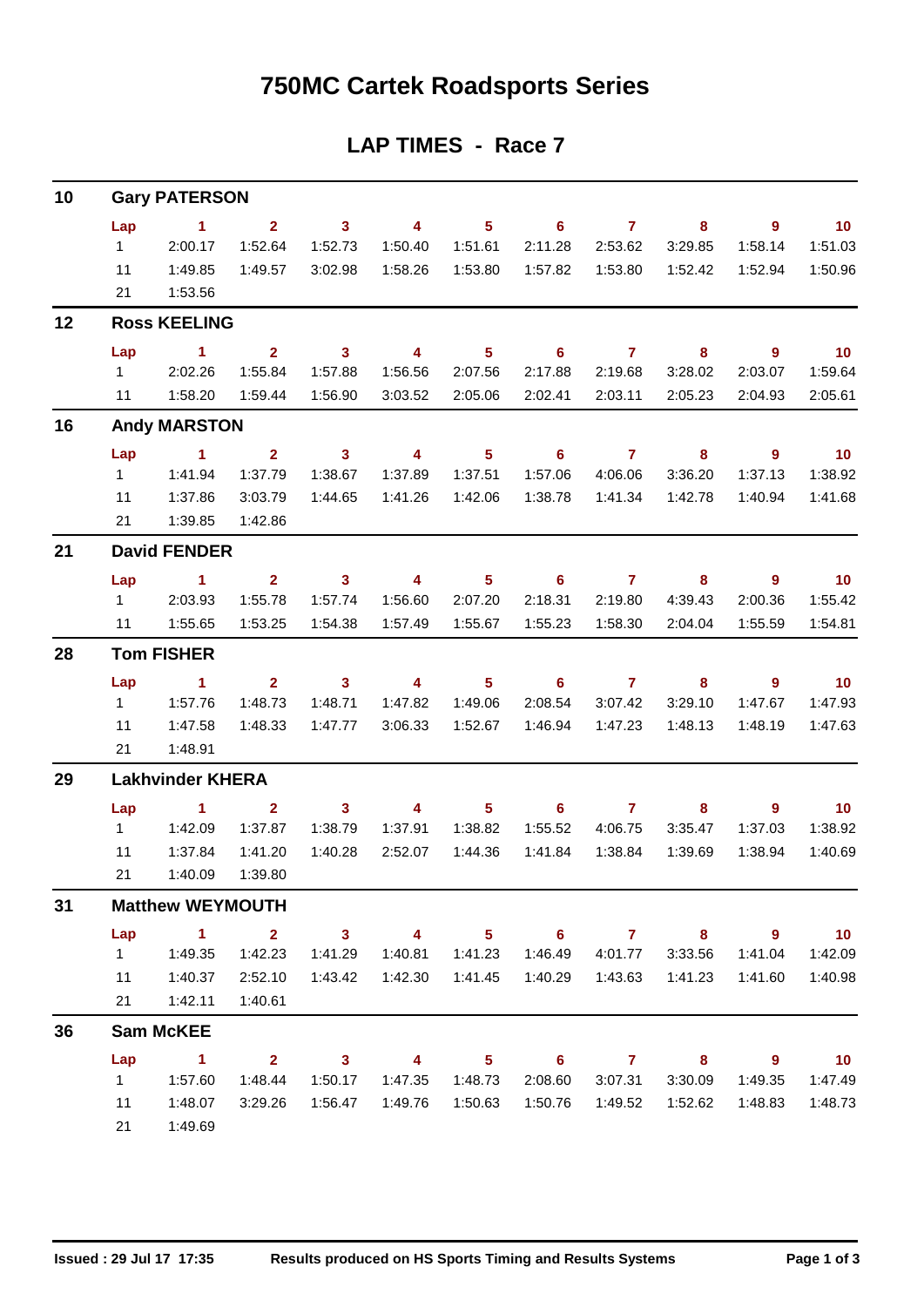## **750MC Cartek Roadsports Series**

#### **LAP TIMES - Race 7**

| 10 |              | <b>Gary PATERSON</b>    |                         |                            |                         |                            |                            |                |                         |                            |                 |
|----|--------------|-------------------------|-------------------------|----------------------------|-------------------------|----------------------------|----------------------------|----------------|-------------------------|----------------------------|-----------------|
|    | Lap          | $\blacktriangleleft$    | $\mathbf{2}$            | $\mathbf{3}$               | 4                       | 5 <sup>5</sup>             | $\overline{\phantom{0}}$ 6 | $\mathbf{7}$   | 8                       | $\overline{9}$             | 10              |
|    | 1            | 2:00.17                 | 1:52.64                 | 1:52.73                    | 1:50.40                 | 1:51.61                    | 2:11.28                    | 2:53.62        | 3:29.85                 | 1:58.14                    | 1:51.03         |
|    | 11           | 1:49.85                 | 1:49.57                 | 3:02.98                    | 1:58.26                 | 1:53.80                    | 1:57.82                    | 1:53.80        | 1:52.42                 | 1:52.94                    | 1:50.96         |
|    | 21           | 1:53.56                 |                         |                            |                         |                            |                            |                |                         |                            |                 |
| 12 |              | <b>Ross KEELING</b>     |                         |                            |                         |                            |                            |                |                         |                            |                 |
|    | Lap          | $\sim$ 1                | $\mathbf{2}$            | $\overline{\phantom{a}}$ 3 | 4                       | 5 <sub>5</sub>             | $6^{\circ}$                | $\overline{7}$ | 8                       | $\overline{9}$             | 10              |
|    | $1 \quad$    | 2:02.26                 | 1:55.84                 | 1:57.88                    | 1:56.56                 | 2:07.56                    | 2:17.88                    | 2:19.68        | 3:28.02                 | 2:03.07                    | 1:59.64         |
|    | 11           | 1:58.20                 | 1:59.44                 | 1:56.90                    | 3:03.52                 | 2:05.06                    | 2:02.41                    | 2:03.11        | 2:05.23                 | 2:04.93                    | 2:05.61         |
| 16 |              | <b>Andy MARSTON</b>     |                         |                            |                         |                            |                            |                |                         |                            |                 |
|    | Lap          | $\sim$ 1                | $\overline{2}$          | 3 <sup>7</sup>             | $\overline{\mathbf{4}}$ | 5 <sub>5</sub>             | $6^{\circ}$                | $\overline{7}$ | 8                       | $9^{\circ}$                | $\overline{10}$ |
|    | 1            | 1:41.94                 | 1:37.79                 | 1:38.67                    | 1:37.89                 | 1:37.51                    | 1:57.06                    | 4:06.06        | 3:36.20                 | 1:37.13                    | 1:38.92         |
|    | 11           | 1:37.86                 | 3:03.79                 | 1:44.65                    | 1:41.26                 | 1:42.06                    | 1:38.78                    | 1:41.34        | 1:42.78                 | 1:40.94                    | 1:41.68         |
|    | 21           | 1:39.85                 | 1:42.86                 |                            |                         |                            |                            |                |                         |                            |                 |
| 21 |              | <b>David FENDER</b>     |                         |                            |                         |                            |                            |                |                         |                            |                 |
|    | Lap          | $\sim$ 1                | $\overline{2}$          | 3 <sup>1</sup>             | $\overline{4}$          | 5 <sub>5</sub>             | $\overline{\phantom{0}}$ 6 | $\overline{7}$ | 8                       | 9                          | $\overline{10}$ |
|    | $1 \quad$    | 2:03.93                 | 1:55.78                 | 1:57.74                    | 1:56.60                 | 2:07.20                    | 2:18.31                    | 2:19.80        | 4:39.43                 | 2:00.36                    | 1:55.42         |
|    | 11           | 1:55.65                 | 1:53.25                 | 1:54.38                    | 1:57.49                 | 1:55.67                    | 1:55.23                    | 1:58.30        | 2:04.04                 | 1:55.59                    | 1:54.81         |
| 28 |              | <b>Tom FISHER</b>       |                         |                            |                         |                            |                            |                |                         |                            |                 |
|    | Lap          | $\mathbf 1$             | $\overline{2}$          | $\mathbf{3}$               | $\overline{4}$          | 5                          | $6^{\circ}$                | $\overline{7}$ | 8                       | $\overline{9}$             | 10              |
|    | $1 \quad$    | 1:57.76                 | 1:48.73                 | 1:48.71                    | 1:47.82                 | 1:49.06                    | 2:08.54                    | 3:07.42        | 3:29.10                 | 1:47.67                    | 1:47.93         |
|    | 11           | 1:47.58                 | 1:48.33                 | 1:47.77                    | 3:06.33                 | 1:52.67                    | 1:46.94                    | 1:47.23        | 1:48.13                 | 1:48.19                    | 1:47.63         |
|    | 21           | 1:48.91                 |                         |                            |                         |                            |                            |                |                         |                            |                 |
| 29 |              | <b>Lakhvinder KHERA</b> |                         |                            |                         |                            |                            |                |                         |                            |                 |
|    | Lap          | $\blacktriangleleft$    | $\mathbf{2}$            | $\mathbf{3}$               | $\overline{4}$          | 5 <sub>5</sub>             | $6\phantom{1}$             | $\overline{7}$ | 8                       | $\overline{9}$             | 10 <sub>1</sub> |
|    | $\mathbf{1}$ | 1:42.09                 | 1:37.87                 | 1:38.79                    | 1:37.91                 | 1:38.82                    | 1:55.52                    | 4:06.75        | 3:35.47                 | 1:37.03                    | 1:38.92         |
|    | 11           | 1:37.84                 | 1:41.20                 | 1:40.28                    | 2:52.07                 | 1:44.36                    | 1:41.84                    | 1:38.84        | 1:39.69                 | 1:38.94                    | 1:40.69         |
|    | 21           | 1:40.09                 | 1:39.80                 |                            |                         |                            |                            |                |                         |                            |                 |
| 31 |              | <b>Matthew WEYMOUTH</b> |                         |                            |                         |                            |                            |                |                         |                            |                 |
|    | Lap          | $\mathbf{1}$            | $2^{\circ}$             | 3 <sup>1</sup>             | $\overline{\mathbf{4}}$ | 5 <sub>1</sub>             | $\overline{\phantom{0}}$ 6 | $\overline{7}$ | 8                       | $\overline{\phantom{a}}$   | 10              |
|    | 1            | 1:49.35                 | 1:42.23                 | 1:41.29                    | 1:40.81                 | 1:41.23                    | 1:46.49                    | 4:01.77        | 3:33.56                 | 1:41.04                    | 1:42.09         |
|    | 11           | 1:40.37                 | 2:52.10                 | 1:43.42                    | 1:42.30                 | 1:41.45                    | 1:40.29                    | 1:43.63        | 1:41.23                 | 1:41.60                    | 1:40.98         |
|    | 21           | 1:42.11                 | 1:40.61                 |                            |                         |                            |                            |                |                         |                            |                 |
| 36 |              | <b>Sam McKEE</b>        |                         |                            |                         |                            |                            |                |                         |                            |                 |
|    | Lap          | $\mathbf{1}$            | $\overline{\mathbf{2}}$ | $\overline{\mathbf{3}}$    | $\overline{\mathbf{4}}$ | $\overline{\phantom{0}}$ 5 | $\overline{\phantom{a}}$ 6 | $\overline{7}$ | $\overline{\mathbf{8}}$ | $\overline{\phantom{a}}$ 9 | $\overline{10}$ |
|    | 1            | 1:57.60                 | 1:48.44                 | 1:50.17                    | 1:47.35                 | 1:48.73                    | 2:08.60                    | 3:07.31        | 3:30.09                 | 1:49.35                    | 1:47.49         |
|    | 11           | 1:48.07                 | 3:29.26                 | 1:56.47                    | 1:49.76                 | 1:50.63                    | 1:50.76                    | 1:49.52        | 1:52.62                 | 1:48.83                    | 1:48.73         |
|    | 21           | 1:49.69                 |                         |                            |                         |                            |                            |                |                         |                            |                 |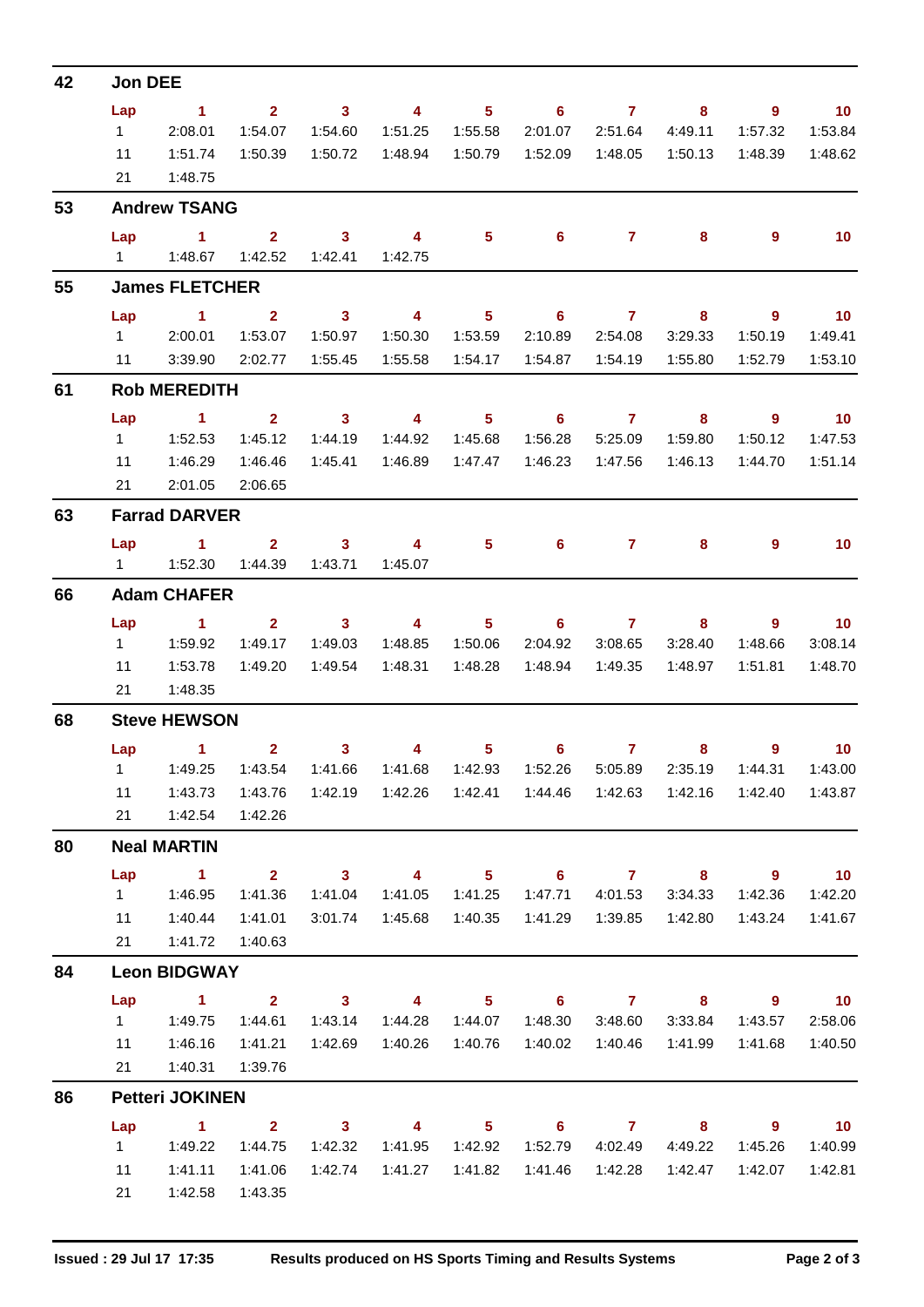| 42 | Jon DEE          |                                                                                                                   |                                    |                                    |                                    |                            |                            |                   |                                    |                                     |                   |
|----|------------------|-------------------------------------------------------------------------------------------------------------------|------------------------------------|------------------------------------|------------------------------------|----------------------------|----------------------------|-------------------|------------------------------------|-------------------------------------|-------------------|
|    | Lap              | $\sim$ 1                                                                                                          | $\overline{\mathbf{2}}$            | $\sim$ 3                           | $\sim$ 4                           | 5 <sub>5</sub>             | $\overline{\phantom{0}}$ 6 | $\overline{7}$    | 8                                  | $\overline{9}$                      | $\blacksquare$ 10 |
|    | $1 \quad$        | 2:08.01                                                                                                           | 1:54.07                            | 1:54.60                            | 1:51.25                            | 1:55.58                    | 2:01.07                    | 2:51.64           | 4:49.11                            | 1:57.32                             | 1:53.84           |
|    | 11               | 1:51.74                                                                                                           | 1:50.39                            | 1:50.72                            |                                    |                            | 1:52.09                    | 1:48.05           | 1:50.13                            | 1:48.39                             | 1:48.62           |
|    | 21               | 1:48.75                                                                                                           |                                    |                                    |                                    |                            |                            |                   |                                    |                                     |                   |
| 53 |                  | <b>Andrew TSANG</b>                                                                                               |                                    |                                    |                                    |                            |                            |                   |                                    |                                     |                   |
|    | Lap              | $\sim$ 1                                                                                                          | $2^{\circ}$                        | $\overline{\mathbf{3}}$            | $\overline{4}$<br>1:42.75          | 5 <sup>1</sup>             | 6                          | $\mathbf{7}$      | 8                                  | 9                                   | 10                |
| 55 |                  | <b>James FLETCHER</b>                                                                                             |                                    |                                    |                                    |                            |                            |                   |                                    |                                     |                   |
|    | Lap              | $\sim$ 1                                                                                                          | $\overline{2}$                     | $\overline{\mathbf{3}}$            | $\sim$ 4                           | 5 <sub>1</sub>             | $\overline{\phantom{a}}$ 6 | $\sim$ 7 $\sim$   | $\overline{\phantom{a}}$ 8         | - 9                                 | $\blacksquare$ 10 |
|    | $1 \quad \Box$   | 2:00.01                                                                                                           | 1:53.07                            | 1:50.97                            | 1:50.30                            | 1:53.59                    | 2:10.89                    | 2:54.08           | 3:29.33                            | 1:50.19                             | 1:49.41           |
|    | 11               | 3:39.90                                                                                                           | 2:02.77                            | 1:55.45                            |                                    |                            |                            | 1:54.87  1:54.19  | 1:55.80                            | 1:52.79                             | 1:53.10           |
| 61 |                  | <b>Rob MEREDITH</b>                                                                                               |                                    |                                    |                                    |                            |                            |                   |                                    |                                     |                   |
|    | Lap              | $\sim$ 1                                                                                                          | $\overline{2}$                     | $\overline{\mathbf{3}}$            | $\overline{\mathbf{4}}$            | 5 <sub>1</sub>             | $6^{\circ}$                | $\mathbf{7}$      | 8                                  | 9                                   | $\overline{10}$   |
|    | $1 \quad$        | 1:52.53                                                                                                           | 1:45.12                            | 1:44.19                            | 1:44.92                            | 1:45.68                    | 1:56.28                    | 5:25.09           | 1:59.80                            | 1:50.12                             | 1:47.53           |
|    | 11               | 1:46.29                                                                                                           | 1:46.46                            | 1:45.41                            |                                    |                            | 1:46.23                    | 1:47.56           | 1:46.13                            | 1:44.70                             | 1:51.14           |
|    | 21               | 2:01.05                                                                                                           | 2:06.65                            |                                    |                                    |                            |                            |                   |                                    |                                     |                   |
| 63 |                  | <b>Farrad DARVER</b>                                                                                              |                                    |                                    |                                    |                            |                            |                   |                                    |                                     |                   |
|    | Lap              | $\sim$ 1.                                                                                                         | $\overline{2}$                     | $\overline{\mathbf{3}}$            | $\sim$ 4                           | $5\phantom{.0}$            | 6                          | $\mathbf{7}$      | 8                                  | 9                                   | 10                |
|    | $1 \quad$        | 1:52.30                                                                                                           | 1:44.39                            | 1:43.71                            | 1:45.07                            |                            |                            |                   |                                    |                                     |                   |
| 66 |                  | <b>Adam CHAFER</b>                                                                                                |                                    |                                    |                                    |                            |                            |                   |                                    |                                     |                   |
|    | Lap              | $\blacktriangleleft$                                                                                              | 2 <sup>1</sup>                     | $\mathbf{3}$                       | $\overline{4}$                     | 5 <sub>1</sub>             | 6.                         | $\mathbf{7}$      | 8                                  | 9                                   | 10                |
|    | $1 \quad \Box$   | 1:59.92                                                                                                           | 1:49.17                            | 1:49.03                            | 1:48.85                            | 1:50.06                    | 2:04.92                    | 3:08.65           | 3:28.40                            | 1:48.66                             | 3:08.14           |
|    | 11               | 1:53.78                                                                                                           | 1:49.20                            | 1:49.54                            |                                    | 1:48.31  1:48.28           | 1:48.94                    |                   |                                    | 1:51.81                             | 1:48.70           |
|    | 21               | 1:48.35                                                                                                           |                                    |                                    |                                    |                            |                            |                   |                                    |                                     |                   |
| 68 |                  | <b>Steve HEWSON</b>                                                                                               |                                    |                                    |                                    |                            |                            |                   |                                    |                                     |                   |
|    | Lap              | $\sim$ 1<br>1   1:49.25   1:43.54   1:41.66   1:41.68   1:42.93   1:52.26   5:05.89   2:35.19   1:44.31   1:43.00 | $\mathbf{2}$                       | 3 <sup>7</sup>                     | 4                                  | $5\phantom{.0}$            | 6                          | $\mathbf{7}$      | 8                                  | 9                                   | 10                |
|    |                  |                                                                                                                   |                                    |                                    |                                    |                            |                            |                   |                                    |                                     |                   |
|    | 11               | 1:43.73                                                                                                           | 1:43.76                            | 1:42.19                            | 1:42.26                            | 1:42.41                    |                            |                   | 1:42.16                            | 1:42.40                             | 1:43.87           |
| 80 | 21               | 1:42.54                                                                                                           | 1:42.26                            |                                    |                                    |                            |                            |                   |                                    |                                     |                   |
|    |                  | <b>Neal MARTIN</b>                                                                                                |                                    |                                    |                                    |                            |                            | $\overline{7}$    |                                    |                                     | $\overline{10}$   |
|    | Lap<br>$1 \quad$ | $\sim$ 1<br>1:46.95                                                                                               | $\overline{\mathbf{2}}$<br>1:41.36 | $\overline{\mathbf{3}}$<br>1:41.04 | $\overline{\mathbf{4}}$<br>1:41.05 | $5 -$<br>1:41.25           | $\overline{\phantom{a}}$ 6 | 1:47.71   4:01.53 | $\overline{\mathbf{8}}$<br>3:34.33 | $\overline{\phantom{a}}$<br>1:42.36 | 1:42.20           |
|    | 11               | 1:40.44                                                                                                           | 1:41.01                            | 3:01.74                            |                                    |                            | 1:41.29                    | 1:39.85           | 1:42.80                            | 1:43.24                             | 1:41.67           |
|    | 21               | 1:41.72                                                                                                           | 1:40.63                            |                                    |                                    |                            |                            |                   |                                    |                                     |                   |
| 84 |                  | <b>Leon BIDGWAY</b>                                                                                               |                                    |                                    |                                    |                            |                            |                   |                                    |                                     |                   |
|    | Lap              |                                                                                                                   | $1 \t2 \t3 \t4$                    |                                    |                                    | $\overline{\phantom{0}}$ 5 |                            | $6 \overline{7}$  | $\overline{\mathbf{8}}$            | $\overline{\phantom{a}}$            | $\sim$ 10         |
|    | $1 \quad$        | 1:49.75                                                                                                           | 1:44.61                            | 1:43.14                            | 1:44.28                            | 1:44.07                    | 1:48.30                    | 3:48.60           | 3:33.84                            | 1:43.57                             | 2:58.06           |
|    | 11               | 1:46.16                                                                                                           | 1:41.21                            | 1:42.69                            | 1:40.26                            | 1:40.76                    | 1:40.02                    | 1:40.46           | 1:41.99                            | 1:41.68                             | 1:40.50           |
|    | 21               | 1:40.31                                                                                                           | 1:39.76                            |                                    |                                    |                            |                            |                   |                                    |                                     |                   |
| 86 |                  | <b>Petteri JOKINEN</b>                                                                                            |                                    |                                    |                                    |                            |                            |                   |                                    |                                     |                   |
|    | Lap              | $\sim$ 1                                                                                                          |                                    | $2 \t 3 \t 4$                      |                                    |                            | 5 6 7 8                    |                   |                                    | - 9                                 | $\blacksquare$ 10 |
|    | $1 \quad$        | 1:49.22                                                                                                           | 1:44.75                            | 1:42.32                            | 1:41.95                            | 1:42.92                    | 1:52.79                    | 4:02.49           | 4:49.22                            | 1:45.26                             | 1:40.99           |
|    | 11               | 1:41.11                                                                                                           | 1:41.06                            | 1:42.74                            |                                    |                            | 1:41.46                    | 1:42.28           | 1:42.47                            | 1:42.07                             | 1:42.81           |
|    | 21               | 1:42.58                                                                                                           | 1:43.35                            |                                    |                                    |                            |                            |                   |                                    |                                     |                   |